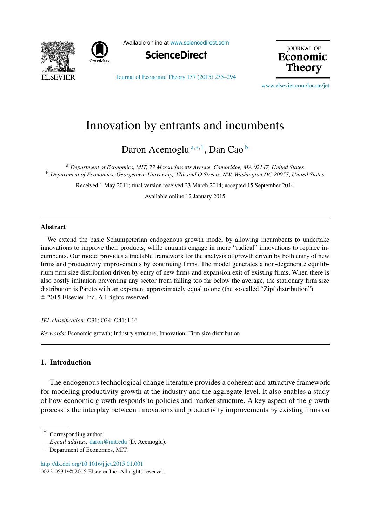



Available online at [www.sciencedirect.com](http://www.sciencedirect.com)



**JOURNAL OF** Economic Theorv

[Journal of Economic Theory 157 \(2015\) 255–294](http://dx.doi.org/10.1016/j.jet.2015.01.001)

[www.elsevier.com/locate/jet](http://www.elsevier.com/locate/jet)

## Innovation by entrants and incumbents

Daron Acemoglu <sup>a</sup>*,*∗*,*<sup>1</sup> , Dan Cao <sup>b</sup>

<sup>a</sup> *Department of Economics, MIT, 77 Massachusetts Avenue, Cambridge, MA 02147, United States* <sup>b</sup> *Department of Economics, Georgetown University, 37th and O Streets, NW, Washington DC 20057, United States*

Received 1 May 2011; final version received 23 March 2014; accepted 15 September 2014

Available online 12 January 2015

#### **Abstract**

We extend the basic Schumpeterian endogenous growth model by allowing incumbents to undertake innovations to improve their products, while entrants engage in more "radical" innovations to replace incumbents. Our model provides a tractable framework for the analysis of growth driven by both entry of new firms and productivity improvements by continuing firms. The model generates a non-degenerate equilibrium firm size distribution driven by entry of new firms and expansion exit of existing firms. When there is also costly imitation preventing any sector from falling too far below the average, the stationary firm size distribution is Pareto with an exponent approximately equal to one (the so-called "Zipf distribution"). © 2015 Elsevier Inc. All rights reserved.

*JEL classification:* O31; O34; O41; L16

*Keywords:* Economic growth; Industry structure; Innovation; Firm size distribution

#### **1. Introduction**

The endogenous technological change literature provides a coherent and attractive framework for modeling productivity growth at the industry and the aggregate level. It also enables a study of how economic growth responds to policies and market structure. A key aspect of the growth process is the interplay between innovations and productivity improvements by existing firms on

Corresponding author.

<http://dx.doi.org/10.1016/j.jet.2015.01.001> 0022-0531/© 2015 Elsevier Inc. All rights reserved.

*E-mail address:* [daron@mit.edu](mailto:daron@mit.edu) (D. Acemoglu).

Department of Economics, MIT.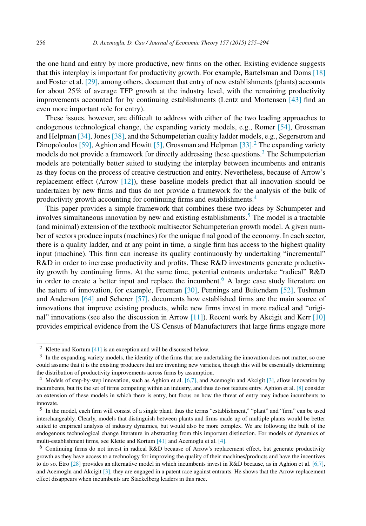the one hand and entry by more productive, new firms on the other. Existing evidence suggests that this interplay is important for productivity growth. For example, Bartelsman and Doms [\[18\]](#page-37-0) and Foster et al. [\[29\],](#page-38-0) among others, document that entry of new establishments (plants) accounts for about 25% of average TFP growth at the industry level, with the remaining productivity improvements accounted for by continuing establishments (Lentz and Mortensen [\[43\]](#page-38-0) find an even more important role for entry).

These issues, however, are difficult to address with either of the two leading approaches to endogenous technological change, the expanding variety models, e.g., Romer [\[54\],](#page-38-0) Grossman and Helpman  $[34]$ , Jones  $[38]$ , and the Schumpeterian quality ladder models, e.g., Segerstrom and Dinopoloulos [\[59\],](#page-39-0) Aghion and Howitt [\[5\],](#page-37-0) Grossman and Helpman [\[33\].](#page-38-0)<sup>2</sup> The expanding variety models do not provide a framework for directly addressing these questions.<sup>3</sup> The Schumpeterian models are potentially better suited to studying the interplay between incumbents and entrants as they focus on the process of creative destruction and entry. Nevertheless, because of Arrow's replacement effect (Arrow [\[12\]\)](#page-37-0), these baseline models predict that all innovation should be undertaken by new firms and thus do not provide a framework for the analysis of the bulk of productivity growth accounting for continuing firms and establishments.<sup>4</sup>

This paper provides a simple framework that combines these two ideas by Schumpeter and involves simultaneous innovation by new and existing establishments.<sup>5</sup> The model is a tractable (and minimal) extension of the textbook multisector Schumpeterian growth model. A given number of sectors produce inputs (machines) for the unique final good of the economy. In each sector, there is a quality ladder, and at any point in time, a single firm has access to the highest quality input (machine). This firm can increase its quality continuously by undertaking "incremental" R&D in order to increase productivity and profits. These R&D investments generate productivity growth by continuing firms. At the same time, potential entrants undertake "radical" R&D in order to create a better input and replace the incumbent.<sup>6</sup> A large case study literature on the nature of innovation, for example, Freeman [\[30\],](#page-38-0) Pennings and Buitendam [\[52\],](#page-38-0) Tushman and Anderson [\[64\]](#page-39-0) and Scherer [\[57\],](#page-39-0) documents how established firms are the main source of innovations that improve existing products, while new firms invest in more radical and "original" innovations (see also the discussion in Arrow  $[11]$ ). Recent work by Akcigit and Kerr  $[10]$ provides empirical evidence from the US Census of Manufacturers that large firms engage more

<sup>2</sup> Klette and Kortum [\[41\]](#page-38-0) is an exception and will be discussed below.

<sup>3</sup> In the expanding variety models, the identity of the firms that are undertaking the innovation does not matter, so one could assume that it is the existing producers that are inventing new varieties, though this will be essentially determining the distribution of productivity improvements across firms by assumption.

<sup>4</sup> Models of step-by-step innovation, such as Aghion et al. [\[6,7\],](#page-37-0) and Acemoglu and Akcigit [\[3\],](#page-37-0) allow innovation by incumbents, but fix the set of firms competing within an industry, and thus do not feature entry. Aghion et al. [\[8\]](#page-37-0) consider an extension of these models in which there is entry, but focus on how the threat of entry may induce incumbents to innovate.

 $<sup>5</sup>$  In the model, each firm will consist of a single plant, thus the terms "establishment," "plant" and "firm" can be used</sup> interchangeably. Clearly, models that distinguish between plants and firms made up of multiple plants would be better suited to empirical analysis of industry dynamics, but would also be more complex. We are following the bulk of the endogenous technological change literature in abstracting from this important distinction. For models of dynamics of multi-establishment firms, see Klette and Kortum [\[41\]](#page-38-0) and Acemoglu et al. [\[4\].](#page-37-0)

<sup>6</sup> Continuing firms do not invest in radical R&D because of Arrow's replacement effect, but generate productivity growth as they have access to a technology for improving the quality of their machines/products and have the incentives to do so. Etro [\[28\]](#page-38-0) provides an alternative model in which incumbents invest in R&D because, as in Aghion et al. [\[6,7\],](#page-37-0) and Acemoglu and Akcigit [\[3\],](#page-37-0) they are engaged in a patent race against entrants. He shows that the Arrow replacement effect disappears when incumbents are Stackelberg leaders in this race.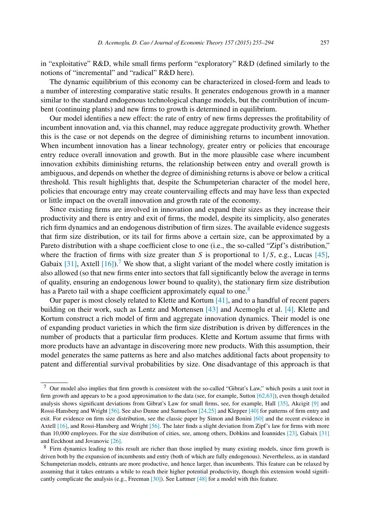in "exploitative" R&D, while small firms perform "exploratory" R&D (defined similarly to the notions of "incremental" and "radical" R&D here).

The dynamic equilibrium of this economy can be characterized in closed-form and leads to a number of interesting comparative static results. It generates endogenous growth in a manner similar to the standard endogenous technological change models, but the contribution of incumbent (continuing plants) and new firms to growth is determined in equilibrium.

Our model identifies a new effect: the rate of entry of new firms depresses the profitability of incumbent innovation and, via this channel, may reduce aggregate productivity growth. Whether this is the case or not depends on the degree of diminishing returns to incumbent innovation. When incumbent innovation has a linear technology, greater entry or policies that encourage entry reduce overall innovation and growth. But in the more plausible case where incumbent innovation exhibits diminishing returns, the relationship between entry and overall growth is ambiguous, and depends on whether the degree of diminishing returns is above or below a critical threshold. This result highlights that, despite the Schumpeterian character of the model here, policies that encourage entry may create countervailing effects and may have less than expected or little impact on the overall innovation and growth rate of the economy.

Since existing firms are involved in innovation and expand their sizes as they increase their productivity and there is entry and exit of firms, the model, despite its simplicity, also generates rich firm dynamics and an endogenous distribution of firm sizes. The available evidence suggests that firm size distribution, or its tail for firms above a certain size, can be approximated by a Pareto distribution with a shape coefficient close to one (i.e., the so-called "Zipf's distribution," where the fraction of firms with size greater than *S* is proportional to  $1/S$ , e.g., Lucas [\[45\],](#page-38-0) Gabaix [\[31\],](#page-38-0) Axtell [\[16\]\)](#page-37-0).<sup>7</sup> We show that, a slight variant of the model where costly imitation is also allowed (so that new firms enter into sectors that fall significantly below the average in terms of quality, ensuring an endogenous lower bound to quality), the stationary firm size distribution has a Pareto tail with a shape coefficient approximately equal to one.<sup>8</sup>

Our paper is most closely related to Klette and Kortum [\[41\],](#page-38-0) and to a handful of recent papers building on their work, such as Lentz and Mortensen [\[43\]](#page-38-0) and Acemoglu et al. [\[4\].](#page-37-0) Klette and Kortum construct a rich model of firm and aggregate innovation dynamics. Their model is one of expanding product varieties in which the firm size distribution is driven by differences in the number of products that a particular firm produces. Klette and Kortum assume that firms with more products have an advantage in discovering more new products. With this assumption, their model generates the same patterns as here and also matches additional facts about propensity to patent and differential survival probabilities by size. One disadvantage of this approach is that

<sup>7</sup> Our model also implies that firm growth is consistent with the so-called "Gibrat's Law," which posits a unit root in firm growth and appears to be a good approximation to the data (see, for example, Sutton  $[62,63]$ ), even though detailed analysis shows significant deviations from Gibrat's Law for small firms, see, for example, Hall [\[35\],](#page-38-0) Akcigit [\[9\]](#page-37-0) and Rossi-Hansberg and Wright [\[56\].](#page-39-0) See also Dunne and Samuelson [\[24,25\]](#page-38-0) and Klepper [\[40\]](#page-38-0) for patterns of firm entry and exit. For evidence on firm size distribution, see the classic paper by Simon and Bonini [\[60\]](#page-39-0) and the recent evidence in Axtell [\[16\],](#page-37-0) and Rossi-Hansberg and Wright [\[56\].](#page-39-0) The later finds a slight deviation from Zipf's law for firms with more than 10,000 employees. For the size distribution of cities, see, among others, Dobkins and Ioannides [\[23\],](#page-38-0) Gabaix [\[31\]](#page-38-0) and Eeckhout and Jovanovic [\[26\].](#page-38-0)

<sup>8</sup> Firm dynamics leading to this result are richer than those implied by many existing models, since firm growth is driven both by the expansion of incumbents and entry (both of which are fully endogenous). Nevertheless, as in standard Schumpeterian models, entrants are more productive, and hence larger, than incumbents. This feature can be relaxed by assuming that it takes entrants a while to reach their higher potential productivity, though this extension would significantly complicate the analysis (e.g., Freeman [\[30\]\)](#page-38-0). See Luttmer [\[48\]](#page-38-0) for a model with this feature.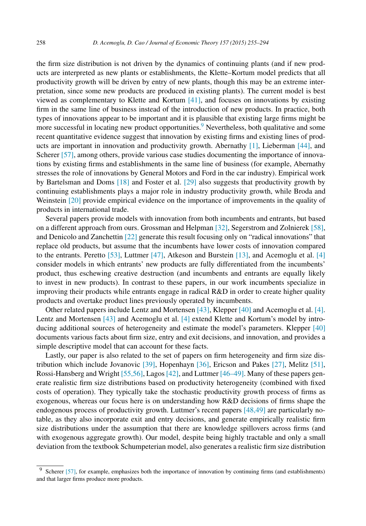the firm size distribution is not driven by the dynamics of continuing plants (and if new products are interpreted as new plants or establishments, the Klette–Kortum model predicts that all productivity growth will be driven by entry of new plants, though this may be an extreme interpretation, since some new products are produced in existing plants). The current model is best viewed as complementary to Klette and Kortum [\[41\],](#page-38-0) and focuses on innovations by existing firm in the same line of business instead of the introduction of new products. In practice, both types of innovations appear to be important and it is plausible that existing large firms might be more successful in locating new product opportunities.<sup>9</sup> Nevertheless, both qualitative and some recent quantitative evidence suggest that innovation by existing firms and existing lines of products are important in innovation and productivity growth. Abernathy [\[1\],](#page-37-0) Lieberman [\[44\],](#page-38-0) and Scherer [\[57\],](#page-39-0) among others, provide various case studies documenting the importance of innovations by existing firms and establishments in the same line of business (for example, Abernathy stresses the role of innovations by General Motors and Ford in the car industry). Empirical work by Bartelsman and Doms [\[18\]](#page-37-0) and Foster et al. [\[29\]](#page-38-0) also suggests that productivity growth by continuing establishments plays a major role in industry productivity growth, while Broda and Weinstein [\[20\]](#page-38-0) provide empirical evidence on the importance of improvements in the quality of products in international trade.

Several papers provide models with innovation from both incumbents and entrants, but based on a different approach from ours. Grossman and Helpman [\[32\],](#page-38-0) Segerstrom and Zolnierek [\[58\],](#page-39-0) and Denicolo and Zanchettin [\[22\]](#page-38-0) generate this result focusing only on "radical innovations" that replace old products, but assume that the incumbents have lower costs of innovation compared to the entrants. Peretto  $[53]$ , Luttmer  $[47]$ , Atkeson and Burstein  $[13]$ , and Acemoglu et al.  $[4]$ consider models in which entrants' new products are fully differentiated from the incumbents' product, thus eschewing creative destruction (and incumbents and entrants are equally likely to invest in new products). In contrast to these papers, in our work incumbents specialize in improving their products while entrants engage in radical R&D in order to create higher quality products and overtake product lines previously operated by incumbents.

Other related papers include Lentz and Mortensen [\[43\],](#page-38-0) Klepper [\[40\]](#page-38-0) and Acemoglu et al. [\[4\].](#page-37-0) Lentz and Mortensen [\[43\]](#page-38-0) and Acemoglu et al. [\[4\]](#page-37-0) extend Klette and Kortum's model by introducing additional sources of heterogeneity and estimate the model's parameters. Klepper [\[40\]](#page-38-0) documents various facts about firm size, entry and exit decisions, and innovation, and provides a simple descriptive model that can account for these facts.

Lastly, our paper is also related to the set of papers on firm heterogeneity and firm size distribution which include Jovanovic [\[39\],](#page-38-0) Hopenhayn [\[36\],](#page-38-0) Ericson and Pakes [\[27\],](#page-38-0) Melitz [\[51\],](#page-38-0) Rossi-Hansberg and Wright [\[55,56\],](#page-39-0) Lagos [\[42\],](#page-38-0) and Luttmer [\[46–49\].](#page-38-0) Many of these papers generate realistic firm size distributions based on productivity heterogeneity (combined with fixed costs of operation). They typically take the stochastic productivity growth process of firms as exogenous, whereas our focus here is on understanding how R&D decisions of firms shape the endogenous process of productivity growth. Luttmer's recent papers [\[48,49\]](#page-38-0) are particularly notable, as they also incorporate exit and entry decisions, and generate empirically realistic firm size distributions under the assumption that there are knowledge spillovers across firms (and with exogenous aggregate growth). Our model, despite being highly tractable and only a small deviation from the textbook Schumpeterian model, also generates a realistic firm size distribution

<sup>9</sup> Scherer [\[57\],](#page-39-0) for example, emphasizes both the importance of innovation by continuing firms (and establishments) and that larger firms produce more products.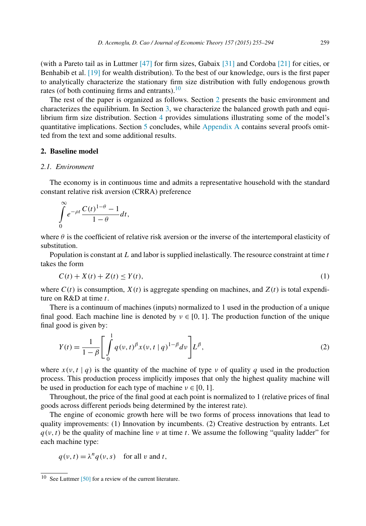<span id="page-4-0"></span>(with a Pareto tail as in Luttmer [\[47\]](#page-38-0) for firm sizes, Gabaix [\[31\]](#page-38-0) and Cordoba [\[21\]](#page-38-0) for cities, or Benhabib et al. [\[19\]](#page-38-0) for wealth distribution). To the best of our knowledge, ours is the first paper to analytically characterize the stationary firm size distribution with fully endogenous growth rates (of both continuing firms and entrants). $\frac{10}{10}$ 

The rest of the paper is organized as follows. Section 2 presents the basic environment and characterizes the equilibrium. In Section [3,](#page-14-0) we characterize the balanced growth path and equilibrium firm size distribution. Section [4](#page-19-0) provides simulations illustrating some of the model's quantitative implications. Section [5](#page-21-0) concludes, while [Appendix A](#page-23-0) contains several proofs omitted from the text and some additional results.

#### **2. Baseline model**

## *2.1. Environment*

The economy is in continuous time and admits a representative household with the standard constant relative risk aversion (CRRA) preference

$$
\int\limits_{0}^{\infty}e^{-\rho t}\frac{C(t)^{1-\theta}-1}{1-\theta}dt,
$$

where  $\theta$  is the coefficient of relative risk aversion or the inverse of the intertemporal elasticity of substitution.

Population is constant at *L* and labor is supplied inelastically. The resource constraint at time *t* takes the form

$$
C(t) + X(t) + Z(t) \leq Y(t),\tag{1}
$$

where  $C(t)$  is consumption,  $X(t)$  is aggregate spending on machines, and  $Z(t)$  is total expenditure on R&D at time *t*.

There is a continuum of machines (inputs) normalized to 1 used in the production of a unique final good. Each machine line is denoted by  $v \in [0, 1]$ . The production function of the unique final good is given by:

$$
Y(t) = \frac{1}{1 - \beta} \left[ \int_{0}^{1} q(v, t)^{\beta} x(v, t | q)^{1 - \beta} dv \right] L^{\beta}, \tag{2}
$$

where  $x(v, t | q)$  is the quantity of the machine of type *ν* of quality *q* used in the production process. This production process implicitly imposes that only the highest quality machine will be used in production for each type of machine  $v \in [0, 1]$ .

Throughout, the price of the final good at each point is normalized to 1 (relative prices of final goods across different periods being determined by the interest rate).

The engine of economic growth here will be two forms of process innovations that lead to quality improvements: (1) Innovation by incumbents. (2) Creative destruction by entrants. Let  $q(v, t)$  be the quality of machine line *v* at time *t*. We assume the following "quality ladder" for each machine type:

$$
q(v, t) = \lambda^n q(v, s) \quad \text{for all } v \text{ and } t,
$$

<sup>10</sup> See Luttmer [\[50\]](#page-38-0) for a review of the current literature.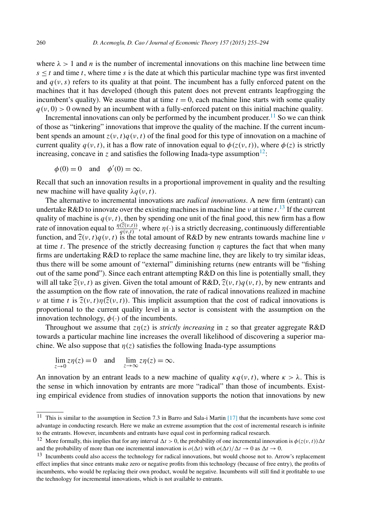where  $\lambda > 1$  and *n* is the number of incremental innovations on this machine line between time  $s \leq t$  and time *t*, where time *s* is the date at which this particular machine type was first invented and  $q(y, s)$  refers to its quality at that point. The incumbent has a fully enforced patent on the machines that it has developed (though this patent does not prevent entrants leapfrogging the incumbent's quality). We assume that at time  $t = 0$ , each machine line starts with some quality  $q(y, 0) > 0$  owned by an incumbent with a fully-enforced patent on this initial machine quality.

Incremental innovations can only be performed by the incumbent producer.<sup>11</sup> So we can think of those as "tinkering" innovations that improve the quality of the machine. If the current incumbent spends an amount  $z(v, t)q(v, t)$  of the final good for this type of innovation on a machine of current quality  $q(y, t)$ , it has a flow rate of innovation equal to  $\phi(z(y, t))$ , where  $\phi(z)$  is strictly increasing, concave in *z* and satisfies the following Inada-type assumption<sup>12</sup>:

 $\phi(0) = 0$  and  $\phi'(0) = \infty$ .

Recall that such an innovation results in a proportional improvement in quality and the resulting new machine will have quality *λq(ν,t)*.

The alternative to incremental innovations are *radical innovations*. A new firm (entrant) can undertake R&D to innovate over the existing machines in machine line *ν* at time *t*. <sup>13</sup> If the current quality of machine is  $q(v, t)$ , then by spending one unit of the final good, this new firm has a flow rate of innovation equal to  $\frac{\eta(\hat{z}(v,t))}{q(v,t)}$ , where  $\eta(\cdot)$  is a strictly decreasing, continuously differentiable function, and  $\hat{\zeta}(v, t)q(v, t)$  is the total amount of R&D by new entrants towards machine line *ν*<br>of time t. The greenes of the strictly degreesing function *n* contyres the feet that when mony at time *t*. The presence of the strictly decreasing function *η* captures the fact that when many firms are undertaking R&D to replace the same machine line, they are likely to try similar ideas, thus there will be some amount of "external" diminishing returns (new entrants will be "fishing out of the same pond"). Since each entrant attempting R&D on this line is potentially small, they will all take  $\hat{z}(v, t)$  as given. Given the total amount of R&D,  $\hat{z}(v, t)q(v, t)$ , by new entrants and the assumption on the flow rate of innovation, the rate of radical innovations realized in machine *ν* at time *t* is  $\hat{z}(v, t)\hat{z}(v, t)$ . This implicit assumption that the cost of radical innovations is proportional to the current quality level in a sector is consistent with the assumption on the innovation technology,  $\phi(\cdot)$  of the incumbents.

Throughout we assume that  $z\eta(z)$  is *strictly increasing* in *z* so that greater aggregate R&D towards a particular machine line increases the overall likelihood of discovering a superior machine. We also suppose that  $\eta(z)$  satisfies the following Inada-type assumptions

$$
\lim_{z \to 0} z\eta(z) = 0 \quad \text{and} \quad \lim_{z \to \infty} z\eta(z) = \infty.
$$

An innovation by an entrant leads to a new machine of quality  $\kappa q(\nu, t)$ , where  $\kappa > \lambda$ . This is the sense in which innovation by entrants are more "radical" than those of incumbents. Existing empirical evidence from studies of innovation supports the notion that innovations by new

 $11$  This is similar to the assumption in Section 7.3 in Barro and Sala-i Martin [\[17\]](#page-37-0) that the incumbents have some cost advantage in conducting research. Here we make an extreme assumption that the cost of incremental research is infinite to the entrants. However, incumbents and entrants have equal cost in performing radical research.

<sup>&</sup>lt;sup>12</sup> More formally, this implies that for any interval  $\Delta t > 0$ , the probability of one incremental innovation is  $\phi(z(v, t))\Delta t$ and the probability of more than one incremental innovation is  $o(\Delta t)$  with  $o(\Delta t)/\Delta t \rightarrow 0$  as  $\Delta t \rightarrow 0$ .

<sup>&</sup>lt;sup>13</sup> Incumbents could also access the technology for radical innovations, but would choose not to. Arrow's replacement effect implies that since entrants make zero or negative profits from this technology (because of free entry), the profits of incumbents, who would be replacing their own product, would be negative. Incumbents will still find it profitable to use the technology for incremental innovations, which is not available to entrants.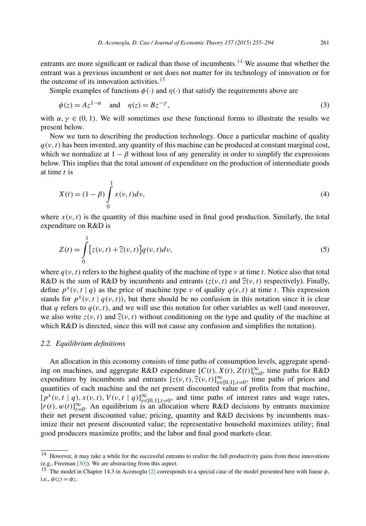<span id="page-6-0"></span>entrants are more significant or radical than those of incumbents.<sup>14</sup> We assume that whether the entrant was a previous incumbent or not does not matter for its technology of innovation or for the outcome of its innovation activities. $15$ 

Simple examples of functions  $\phi(\cdot)$  and  $\eta(\cdot)$  that satisfy the requirements above are

$$
\phi(z) = Az^{1-\alpha} \quad \text{and} \quad \eta(z) = Bz^{-\gamma},\tag{3}
$$

with  $\alpha, \gamma \in (0, 1)$ . We will sometimes use these functional forms to illustrate the results we present below.

Now we turn to describing the production technology. Once a particular machine of quality  $q(y, t)$  has been invented, any quantity of this machine can be produced at constant marginal cost, which we normalize at  $1 - \beta$  without loss of any generality in order to simplify the expressions below. This implies that the total amount of expenditure on the production of intermediate goods at time *t* is

$$
X(t) = (1 - \beta) \int_{0}^{1} x(v, t) dv,
$$
\n(4)

where  $x(v, t)$  is the quantity of this machine used in final good production. Similarly, the total expenditure on R&D is

$$
Z(t) = \int_{0}^{1} \left[ z(v, t) + \widehat{z}(v, t) \right] q(v, t) dv,
$$
\n
$$
(5)
$$

where  $q(v, t)$  refers to the highest quality of the machine of type *ν* at time *t*. Notice also that total R&D is the sum of R&D by incumbents and entrants  $(z(v, t)$  and  $\hat{z}(v, t)$  respectively). Finally, define  $p^x(v, t | q)$  as the price of machine type *v* of quality  $q(v, t)$  at time *t*. This expression stands for  $p^x(v, t | q(v, t))$ , but there should be no confusion in this notation since it is clear that *q* refers to  $q(v, t)$ , and we will use this notation for other variables as well (and moreover, we also write  $z(v, t)$  and  $\hat{z}(v, t)$  without conditioning on the type and quality of the machine at which  $R&D$  is directed, since this will not cause any confusion and simplifies the notation).

#### *2.2. Equilibrium definitions*

An allocation in this economy consists of time paths of consumption levels, aggregate spending on machines, and aggregate R&D expenditure  $[C(t), X(t), Z(t)]_{t=0}^{\infty}$ , time paths for R&D expenditure by incumbents and entrants  $[z(v, t), \hat{z}(v, t)]_{v \in [0,1], t=0}^{\infty}$ , time paths of prices and<br>cuentities of each moshine and the net present discounted value of profits from that moshine quantities of each machine and the net present discounted value of profits from that machine,  $[p^x(v, t | q), x(v, t), V(v, t | q)]_{v \in [0, 1], t = 0}^{\infty}$ , and time paths of interest rates and wage rates,  $[r(t), w(t)]_{t=0}^{\infty}$ . An equilibrium is an allocation where R&D decisions by entrants maximize their net present discounted value; pricing, quantity and R&D decisions by incumbents maximize their net present discounted value; the representative household maximizes utility; final good producers maximize profits; and the labor and final good markets clear.

<sup>&</sup>lt;sup>14</sup> However, it may take a while for the successful entrants to realize the full productivity gains from these innovations (e.g., Freeman [\[30\]\)](#page-38-0). We are abstracting from this aspect.

<sup>&</sup>lt;sup>15</sup> The model in Chapter 14.3 in Acemoglu [\[2\]](#page-37-0) corresponds to a special case of the model presented here with linear  $\phi$ , i.e.,  $\phi(z) = \phi z$ .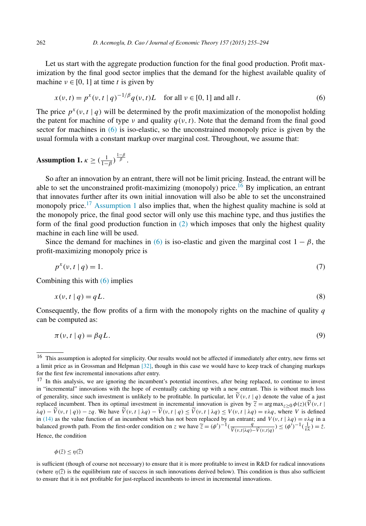<span id="page-7-0"></span>Let us start with the aggregate production function for the final good production. Profit maximization by the final good sector implies that the demand for the highest available quality of machine  $v \in [0, 1]$  at time *t* is given by

$$
x(v, t) = p^{x}(v, t | q)^{-1/\beta} q(v, t)L \quad \text{for all } v \in [0, 1] \text{ and all } t.
$$
 (6)

The price  $p^x(v, t | q)$  will be determined by the profit maximization of the monopolist holding the patent for machine of type *ν* and quality  $q(v, t)$ . Note that the demand from the final good sector for machines in  $(6)$  is iso-elastic, so the unconstrained monopoly price is given by the usual formula with a constant markup over marginal cost. Throughout, we assume that:

# **Assumption 1.**  $\kappa \geq (\frac{1}{1-\beta})^{\frac{1-\beta}{\beta}}$ .

So after an innovation by an entrant, there will not be limit pricing. Instead, the entrant will be able to set the unconstrained profit-maximizing (monopoly) price.<sup>16</sup> By implication, an entrant that innovates further after its own initial innovation will also be able to set the unconstrained monopoly price.<sup>17</sup> Assumption 1 also implies that, when the highest quality machine is sold at the monopoly price, the final good sector will only use this machine type, and thus justifies the form of the final good production function in [\(2\)](#page-4-0) which imposes that only the highest quality machine in each line will be used.

Since the demand for machines in (6) is iso-elastic and given the marginal cost  $1 - \beta$ , the profit-maximizing monopoly price is

$$
p^{x}(v, t | q) = 1. \tag{7}
$$

Combining this with  $(6)$  implies

$$
x(v, t | q) = qL. \tag{8}
$$

Consequently, the flow profits of a firm with the monopoly rights on the machine of quality *q* can be computed as:

$$
\pi(\nu, t \mid q) = \beta q L. \tag{9}
$$

$$
\phi(\bar{z}) \leq \eta(\bar{z})
$$

<sup>&</sup>lt;sup>16</sup> This assumption is adopted for simplicity. Our results would not be affected if immediately after entry, new firms set a limit price as in Grossman and Helpman [\[32\],](#page-38-0) though in this case we would have to keep track of changing markups for the first few incremental innovations after entry.

<sup>&</sup>lt;sup>17</sup> In this analysis, we are ignoring the incumbent's potential incentives, after being replaced, to continue to invest in "incremental" innovations with the hope of eventually catching up with a new entrant. This is without much loss of generality, since such investment is unlikely to be profitable. In particular, let  $\tilde{V}(v, t | q)$  denote the value of a just replaced incumbent. Then its optimal investment in incremental innovation is given by  $\tilde{z}$ replaced incumbent. Then its optimal investment in incremental innovation is given by  $\tilde{z} = \arg \max_{z \ge 0} \phi(z)(\tilde{V}(v, t))$  $\lambda q$ ) –  $\dot{V}(v, t | q)$ ) –  $zq$ . We have  $\dot{V}(v, t | \lambda q) - \dot{V}(v, t | q) \le \dot{V}(v, t | \lambda q) \le V(v, t | \lambda q) = v\lambda q$ , where V is defined<br>in [\(14\)](#page-8-0) as the value function of an incumbent which has not been replaced by an entrant; and  $V(v, t | \lambda q$ balanced growth path. From the first-order condition on z we have  $\tilde{z} = (\phi')^{-1}(\frac{q}{\tilde{V}(v,t|\lambda q) - \tilde{V}(v,t|q)}) \leq (\phi')^{-1}(\frac{1}{v\lambda}) = \overline{z}$ . Hence, the condition

is sufficient (though of course not necessary) to ensure that it is more profitable to invest in R&D for radical innovations (where  $\eta(\bar{z})$  is the equilibrium rate of success in such innovations derived below). This condition is thus also sufficient to ensure that it is not profitable for just-replaced incumbents to invest in incremental innovations.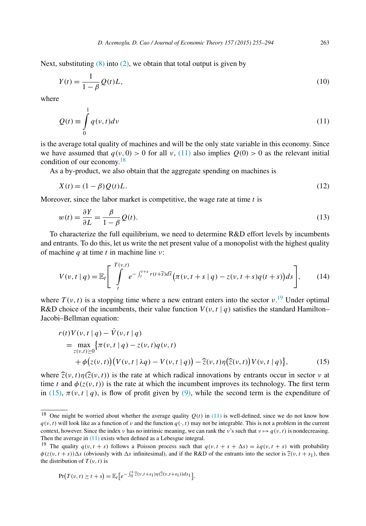<span id="page-8-0"></span>Next, substituting  $(8)$  into  $(2)$ , we obtain that total output is given by

$$
Y(t) = \frac{1}{1 - \beta} Q(t)L,
$$
\n(10)

where

$$
Q(t) \equiv \int_{0}^{1} q(v, t) dv
$$
\n(11)

is the average total quality of machines and will be the only state variable in this economy. Since we have assumed that  $q(v, 0) > 0$  for all  $v$ , (11) also implies  $Q(0) > 0$  as the relevant initial condition of our economy. $18$ 

As a by-product, we also obtain that the aggregate spending on machines is

$$
X(t) = (1 - \beta)Q(t)L.
$$
\n<sup>(12)</sup>

Moreover, since the labor market is competitive, the wage rate at time *t* is

$$
w(t) = \frac{\partial Y}{\partial L} = \frac{\beta}{1 - \beta} Q(t).
$$
\n(13)

To characterize the full equilibrium, we need to determine R&D effort levels by incumbents and entrants. To do this, let us write the net present value of a monopolist with the highest quality of machine *q* at time *t* in machine line *ν*:

$$
V(v, t | q) = \mathbb{E}_{t} \left[ \int_{t}^{T(v, t)} e^{-\int_{t}^{t+s} r(t + \widetilde{s}) d\widetilde{s}} \left( \pi(v, t + s | q) - z(v, t + s) q(t + s) \right) ds \right], \quad (14)
$$

where  $T(v, t)$  is a stopping time where a new entrant enters into the sector  $v$ .<sup>19</sup> Under optimal R&D choice of the incumbents, their value function  $V(\nu, t | q)$  satisfies the standard Hamilton– Jacobi–Bellman equation:

$$
r(t)V(v, t | q) - \dot{V}(v, t | q)
$$
  
= 
$$
\max_{z(v, t) \ge 0} {\{\pi(v, t | q) - z(v, t)q(v, t) + \phi(z(v, t))\} (V(v, t | \lambda q) - V(v, t | q)) - \hat{z}(v, t) \eta(\hat{z}(v, t)) V(v, t | q) \},
$$
 (15)

where  $\hat{z}(v,t)\eta(\hat{z}(v,t))$  is the rate at which radical innovations by entrants occur in sector *v* at time *t* and  $\phi(z(v, t))$  is the rate at which the incumbent improves its technology. The first term in (15),  $\pi(v, t | q)$ , is flow of profit given by [\(9\),](#page-7-0) while the second term is the expenditure of

$$
\Pr(T(v,t) \ge t + s) = \mathbb{E}_t \big[ e^{-\int_0^s \widehat{z}(v,t+s_1)\eta(\widehat{z}(v,t+s_1))ds_1} \big].
$$

<sup>&</sup>lt;sup>18</sup> One might be worried about whether the average quality  $Q(t)$  in (11) is well-defined, since we do not know how  $q(v, t)$  will look like as a function of *v* and the function  $q(v, t)$  may not be integrable. This is not a problem in the current context, however. Since the index *ν* has no intrinsic meaning, we can rank the *ν*'s such that  $v \mapsto q(v, t)$  is nondecreasing. Then the average in  $(11)$  exists when defined as a Lebesgue integral.

<sup>&</sup>lt;sup>19</sup> The quality  $q(v, t + s)$  follows a Poisson process such that  $q(v, t + s + \Delta s) = \lambda q(v, t + s)$  with probability  $\varphi(z(\nu, t + s))\Delta s$  (obviously with  $\Delta s$  infinitesimal), and if the R&D of the entrants into the sector is  $\hat{z}(\nu, t + s_1)$ , then the distribution of  $T(v, t)$  is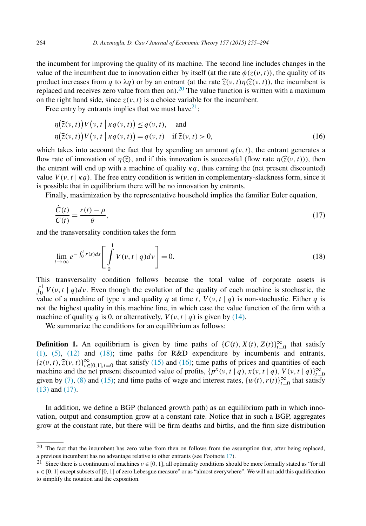<span id="page-9-0"></span>the incumbent for improving the quality of its machine. The second line includes changes in the value of the incumbent due to innovation either by itself (at the rate  $\phi(z(v, t))$ ), the quality of its product increases from *q* to  $\lambda q$ ) or by an entrant (at the rate  $\hat{z}(v,t)\eta(\hat{z}(v,t))$ , the incumbent is replaced and receives zero value from then on).<sup>20</sup> The value function is written with a maximum on the right hand side, since  $z(v, t)$  is a choice variable for the incumbent.

Free entry by entrants implies that we must have  $2^1$ :

$$
\eta(\widehat{z}(v,t))V(v,t \mid \kappa q(v,t)) \le q(v,t), \text{ and}
$$
  
\n
$$
\eta(\widehat{z}(v,t))V(v,t \mid \kappa q(v,t)) = q(v,t) \text{ if } \widehat{z}(v,t) > 0,
$$
\n(16)

which takes into account the fact that by spending an amount  $q(y, t)$ , the entrant generates a flow rate of innovation of  $\eta(\bar{z})$ , and if this innovation is successful (flow rate  $\eta(\bar{z}(v,t))$ ), then the entrant will end up with a machine of quality  $\kappa q$ , thus earning the (net present discounted) value  $V(v, t | \kappa q)$ . The free entry condition is written in complementary-slackness form, since it is possible that in equilibrium there will be no innovation by entrants.

Finally, maximization by the representative household implies the familiar Euler equation,

$$
\frac{\dot{C}(t)}{C(t)} = \frac{r(t) - \rho}{\theta},\tag{17}
$$

and the transversality condition takes the form

$$
\lim_{t \to \infty} e^{-\int_0^t r(s)ds} \left[ \int_0^1 V(v, t | q) dv \right] = 0.
$$
\n(18)

This transversality condition follows because the total value of corporate assets is  $\int_0^1 V(v, t | q) dv$ . Even though the evolution of the quality of each machine is stochastic, the value of a machine of type *v* and quality *q* at time *t*,  $V(v, t | q)$  is non-stochastic. Either *q* is not the highest quality in this machine line, in which case the value function of the firm with a machine of quality *q* is 0, or alternatively,  $V(v, t | q)$  is given by [\(14\).](#page-8-0)

We summarize the conditions for an equilibrium as follows:

**Definition 1.** An equilibrium is given by time paths of  $\{C(t), X(t), Z(t)\}_{t=0}^{\infty}$  that satisfy [\(1\),](#page-4-0) [\(5\),](#page-6-0) [\(12\)](#page-8-0) and (18); time paths for R&D expenditure by incumbents and entrants,  $\{z(v, t), \hat{z}(v, t)\}_{v \in [0,1], t=0}^{\infty}$  that satisfy [\(15\)](#page-8-0) and (16); time paths of prices and quantities of each mechanical problem of prices and quantities of each machine and the net present discounted value of profits,  $\{p^x(v, t | q), x(v, t | q), V(v, t | q)\}_{t=0}^{\infty}$ given by [\(7\),](#page-7-0) [\(8\)](#page-7-0) and [\(15\);](#page-8-0) and time paths of wage and interest rates,  $\{w(t), r(t)\}_{t=0}^{\infty}$  that satisfy [\(13\)](#page-8-0) and (17).

In addition, we define a BGP (balanced growth path) as an equilibrium path in which innovation, output and consumption grow at a constant rate. Notice that in such a BGP, aggregates grow at the constant rate, but there will be firm deaths and births, and the firm size distribution

 $20$  The fact that the incumbent has zero value from then on follows from the assumption that, after being replaced, a previous incumbent has no advantage relative to other entrants (see Footnote [17\)](#page-7-0).

<sup>&</sup>lt;sup>21</sup> Since there is a continuum of machines  $v \in [0, 1]$ , all optimality conditions should be more formally stated as "for all *ν* ∈ [0*,* 1] exceptsubsets of [0*,* 1] of zero Lebesgue measure" or as "almost everywhere". We will not add this qualification to simplify the notation and the exposition.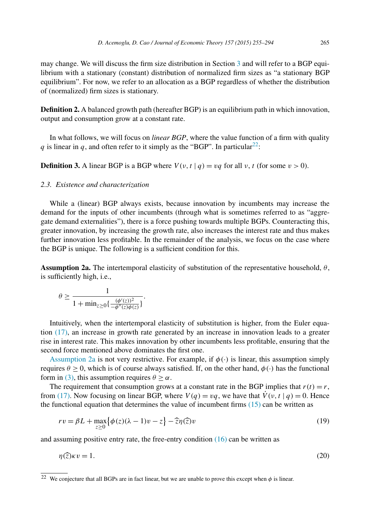<span id="page-10-0"></span>may change. We will discuss the firm size distribution in Section [3](#page-14-0) and will refer to a BGP equilibrium with a stationary (constant) distribution of normalized firm sizes as "a stationary BGP equilibrium". For now, we refer to an allocation as a BGP regardless of whether the distribution of (normalized) firm sizes is stationary.

**Definition 2.** A balanced growth path (hereafter BGP) is an equilibrium path in which innovation, output and consumption grow at a constant rate.

In what follows, we will focus on *linear BGP*, where the value function of a firm with quality *q* is linear in *q*, and often refer to it simply as the "BGP". In particular<sup>22</sup>:

**Definition 3.** A linear BGP is a BGP where  $V(v, t | q) = vq$  for all  $v, t$  (for some  $v > 0$ ).

#### *2.3. Existence and characterization*

While a (linear) BGP always exists, because innovation by incumbents may increase the demand for the inputs of other incumbents (through what is sometimes referred to as "aggregate demand externalities"), there is a force pushing towards multiple BGPs. Counteracting this, greater innovation, by increasing the growth rate, also increases the interest rate and thus makes further innovation less profitable. In the remainder of the analysis, we focus on the case where the BGP is unique. The following is a sufficient condition for this.

**Assumption 2a.** The intertemporal elasticity of substitution of the representative household,  $\theta$ , is sufficiently high, i.e.,

$$
\theta \ge \frac{1}{1 + \min_{z \ge 0} \left\{ \frac{(\phi'(z))^2}{-\phi''(z)\phi(z)} \right\}}.
$$

Intuitively, when the intertemporal elasticity of substitution is higher, from the Euler equation [\(17\),](#page-9-0) an increase in growth rate generated by an increase in innovation leads to a greater rise in interest rate. This makes innovation by other incumbents less profitable, ensuring that the second force mentioned above dominates the first one.

Assumption 2a is not very restrictive. For example, if  $\phi(\cdot)$  is linear, this assumption simply requires *θ* ≥ 0, which is of course always satisfied. If, on the other hand, *φ(*·*)* has the functional form in [\(3\),](#page-6-0) this assumption requires  $\theta > \alpha$ .

The requirement that consumption grows at a constant rate in the BGP implies that  $r(t) = r$ , from [\(17\).](#page-9-0) Now focusing on linear BGP, where  $V(q) = vq$ , we have that  $\dot{V}(v, t | q) = 0$ . Hence the functional equation that determines the value of incumbent firms  $(15)$  can be written as

$$
rv = \beta L + \max_{z \ge 0} \{ \phi(z)(\lambda - 1)v - z \} - \widehat{z}\eta(\widehat{z})v
$$
\n(19)

and assuming positive entry rate, the free-entry condition  $(16)$  can be written as

$$
\eta(\hat{z})\kappa v = 1. \tag{20}
$$

<sup>&</sup>lt;sup>22</sup> We conjecture that all BGPs are in fact linear, but we are unable to prove this except when  $\phi$  is linear.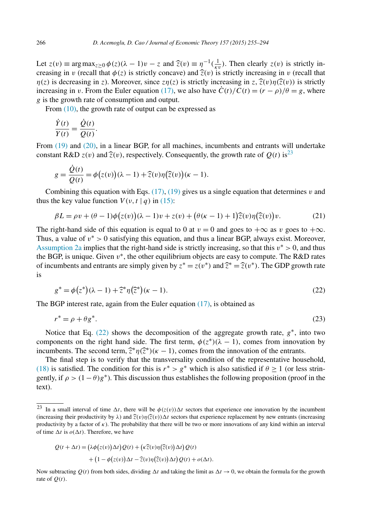<span id="page-11-0"></span>Let  $z(v) \equiv \arg \max_{z \ge 0} \phi(z)(\lambda - 1)v - z$  and  $\hat{z}(v) \equiv \eta^{-1}(\frac{1}{\kappa v})$ . Then clearly  $z(v)$  is strictly in-<br>crossing in *n* (recall that  $\phi(z)$  is strictly concerve) and  $\hat{z}(v)$  is strictly increasing in *n* (recall that creasing in *v* (recall that  $\phi(z)$  is strictly concave) and  $\hat{z}(v)$  is strictly increasing in *v* (recall that  $\eta(z)$  is decreasing in *z*). Moreover, since  $z\eta(z)$  is strictly increasing in  $z$ ,  $\hat{z}(v)\eta(\hat{z}(v))$  is strictly increasing in *v*. From the Euler equation [\(17\),](#page-9-0) we also have  $\dot{C}(t)/C(t) = (r - \rho)/\theta = g$ , where *g* is the growth rate of consumption and output.

From  $(10)$ , the growth rate of output can be expressed as

$$
\frac{\dot{Y}(t)}{Y(t)} = \frac{\dot{Q}(t)}{Q(t)}.
$$

From  $(19)$  and  $(20)$ , in a linear BGP, for all machines, incumbents and entrants will undertake constant R&D  $z(v)$  and  $\hat{z}(v)$ , respectively. Consequently, the growth rate of  $Q(t)$  is<sup>23</sup>

$$
g = \frac{\dot{Q}(t)}{Q(t)} = \phi(z(v))(\lambda - 1) + \hat{z}(v)\eta(\hat{z}(v))(k - 1).
$$

Combining this equation with Eqs. [\(17\),](#page-9-0) [\(19\)](#page-10-0) gives us a single equation that determines *v* and thus the key value function  $V(v, t | q)$  in [\(15\):](#page-8-0)

$$
\beta L = \rho v + (\theta - 1)\phi(z(v))(\lambda - 1)v + z(v) + (\theta(\kappa - 1) + 1)\widehat{z}(v)\eta(\widehat{z}(v))v.
$$
 (21)

The right-hand side of this equation is equal to 0 at  $v = 0$  and goes to  $+\infty$  as *v* goes to  $+\infty$ . Thus, a value of *v*<sup>∗</sup> *>* 0 satisfying this equation, and thus a linear BGP, always exist. Moreover, [Assumption 2a](#page-10-0) implies that the right-hand side is strictly increasing, so that this *v*<sup>∗</sup> *>* 0, and thus the BGP, is unique. Given  $v^*$ , the other equilibrium objects are easy to compute. The R&D rates of incumbents and entrants are simply given by  $z^* = z(v^*)$  and  $\hat{z}^* = \hat{z}(v^*)$ . The GDP growth rate is

$$
g^* = \phi(z^*)(\lambda - 1) + \hat{z}^*\eta(\hat{z}^*)(\kappa - 1).
$$
 (22)

The BGP interest rate, again from the Euler equation [\(17\),](#page-9-0) is obtained as

$$
r^* = \rho + \theta g^*.\tag{23}
$$

Notice that Eq. (22) shows the decomposition of the aggregate growth rate, *g*∗, into two components on the right hand side. The first term,  $\phi(z^*) (\lambda - 1)$ , comes from innovation by incumbents. The second term,  $\hat{\chi}^* \eta(\hat{\chi}^*)(\kappa - 1)$ , comes from the innovation of the entrants.

The final step is to verify that the transversality condition of the representative household, [\(18\)](#page-9-0) is satisfied. The condition for this is  $r^* > g^*$  which is also satisfied if  $\theta \ge 1$  (or less stringently, if  $\rho > (1 - \theta)g^*$ ). This discussion thus establishes the following proposition (proof in the text).

$$
Q(t + \Delta t) = (\lambda \phi(z(v)) \Delta t) Q(t) + (\kappa \widehat{z}(v) \eta(\widehat{z}(v)) \Delta t) Q(t) + (1 - \phi(z(v)) \Delta t - \widehat{z}(v) \eta(\widehat{z}(v)) \Delta t) Q(t) + o(\Delta t).
$$

Now subtracting  $Q(t)$  from both sides, dividing  $\Delta t$  and taking the limit as  $\Delta t \to 0$ , we obtain the formula for the growth rate of  $Q(t)$ .

<sup>&</sup>lt;sup>23</sup> In a small interval of time  $\Delta t$ , there will be  $\phi(z(v))\Delta t$  sectors that experience one innovation by the incumbent (increasing their productivity by  $\lambda$ ) and  $\hat{\zeta}(v)\eta(\hat{\zeta}(v))\Delta t$  sectors that experience replacement by new entrants (increasing productivity by a factor of *κ*). The probability that there will be two or more innovations of any kind within an interval of time  $\Delta t$  is  $o(\Delta t)$ . Therefore, we have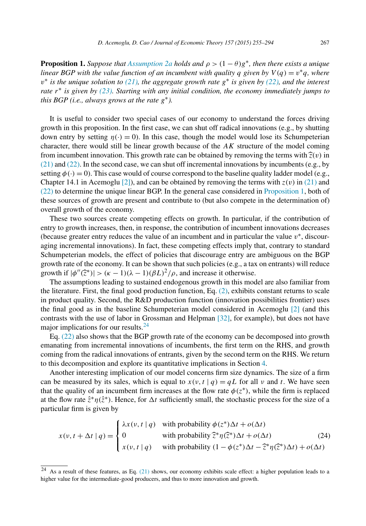<span id="page-12-0"></span>**Proposition 1.** *Suppose that [Assumption 2a](#page-10-0) holds and*  $\rho > (1 - \theta)g^*$ *, then there exists a unique* linear BGP with the value function of an incumbent with quality q given by  $V(q) = v^*q$ , where  $v^*$  is the unique solution to [\(21\),](#page-11-0) the aggregate growth rate  $g^*$  is given by [\(22\),](#page-11-0) and the interest *rate r*<sup>∗</sup> *is given by [\(23\).](#page-11-0) Starting with any initial condition, the economy immediately jumps to this BGP (i.e., always grows at the rate g*∗*).*

It is useful to consider two special cases of our economy to understand the forces driving growth in this proposition. In the first case, we can shut off radical innovations (e.g., by shutting down entry by setting  $n(\cdot) = 0$ . In this case, though the model would lose its Schumpeterian character, there would still be linear growth because of the *AK* structure of the model coming from incumbent innovation. This growth rate can be obtained by removing the terms with  $\hat{z}(v)$  in  $(21)$  and  $(22)$ . In the second case, we can shut off incremental innovations by incumbents (e.g., by setting  $\phi(\cdot) = 0$ ). This case would of course correspond to the baseline quality ladder model (e.g., Chapter 14.1 in Acemoglu [\[2\]\)](#page-37-0), and can be obtained by removing the terms with  $z(v)$  in [\(21\)](#page-11-0) and [\(22\)](#page-11-0) to determine the unique linear BGP. In the general case considered in Proposition 1, both of these sources of growth are present and contribute to (but also compete in the determination of) overall growth of the economy.

These two sources create competing effects on growth. In particular, if the contribution of entry to growth increases, then, in response, the contribution of incumbent innovations decreases (because greater entry reduces the value of an incumbent and in particular the value *v*∗, discouraging incremental innovations). In fact, these competing effects imply that, contrary to standard Schumpeterian models, the effect of policies that discourage entry are ambiguous on the BGP growth rate of the economy. It can be shown that such policies (e.g., a tax on entrants) will reduce growth if  $|\phi''(\hat{z}^*)| > (\kappa - 1)(\lambda - 1)(\beta L)^2/\rho$ , and increase it otherwise.

The assumptions leading to sustained endogenous growth in this model are also familiar from the literature. First, the final good production function, Eq. [\(2\),](#page-4-0) exhibits constant returns to scale in product quality. Second, the R&D production function (innovation possibilities frontier) uses the final good as in the baseline Schumpeterian model considered in Acemoglu [\[2\]](#page-37-0) (and this contrasts with the use of labor in Grossman and Helpman [\[32\],](#page-38-0) for example), but does not have major implications for our results.<sup>24</sup>

Eq. [\(22\)](#page-11-0) also shows that the BGP growth rate of the economy can be decomposed into growth emanating from incremental innovations of incumbents, the first term on the RHS, and growth coming from the radical innovations of entrants, given by the second term on the RHS. We return to this decomposition and explore its quantitative implications in Section [4.](#page-19-0)

Another interesting implication of our model concerns firm size dynamics. The size of a firm can be measured by its sales, which is equal to  $x(v, t | q) = qL$  for all v and t. We have seen that the quality of an incumbent firm increases at the flow rate  $\phi(z^*)$ , while the firm is replaced at the flow rate  $\hat{z}^* \eta(\hat{z}^*)$ . Hence, for  $\Delta t$  sufficiently small, the stochastic process for the size of a particular firm is given by

$$
x(v, t + \Delta t | q) = \begin{cases} \lambda x(v, t | q) & \text{with probability } \phi(z^*) \Delta t + o(\Delta t) \\ 0 & \text{with probability } \hat{z}^* \eta(\hat{z}^*) \Delta t + o(\Delta t) \\ x(v, t | q) & \text{with probability } (1 - \phi(z^*) \Delta t - \hat{z}^* \eta(\hat{z}^*) \Delta t) + o(\Delta t) \end{cases}
$$
(24)

 $24$  As a result of these features, as Eq. [\(21\)](#page-11-0) shows, our economy exhibits scale effect: a higher population leads to a higher value for the intermediate-good producers, and thus to more innovation and growth.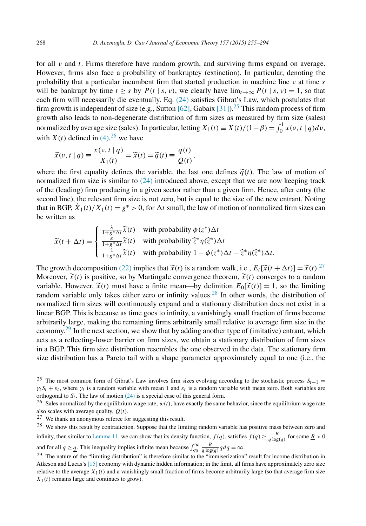for all *ν* and *t*. Firms therefore have random growth, and surviving firms expand on average. However, firms also face a probability of bankruptcy (extinction). In particular, denoting the probability that a particular incumbent firm that started production in machine line *ν* at time *s* will be bankrupt by time  $t > s$  by  $P(t | s, v)$ , we clearly have  $\lim_{t \to \infty} P(t | s, v) = 1$ , so that each firm will necessarily die eventually. Eq. [\(24\)](#page-12-0) satisfies Gibrat's Law, which postulates that firm growth is independent of size (e.g., Sutton [\[62\],](#page-39-0) Gabaix [\[31\]\)](#page-38-0).<sup>25</sup> This random process of firm growth also leads to non-degenerate distribution of firm sizes as measured by firm size (sales) normalized by average size (sales). In particular, letting  $X_1(t) \equiv X(t)/(1-\beta) = \int_0^1 x(v, t | q) dv$ , with  $X(t)$  defined in  $(4)$ , <sup>26</sup> we have

$$
\widetilde{x}(v, t | q) \equiv \frac{x(v, t | q)}{X_1(t)} = \widetilde{x}(t) = \widetilde{q}(t) \equiv \frac{q(t)}{Q(t)},
$$

where the first equality defines the variable, the last one defines  $\tilde{q}(t)$ . The law of motion of normalized firm size is similar to [\(24\)](#page-12-0) introduced above, except that we are now keeping track of the (leading) firm producing in a given sector rather than a given firm. Hence, after entry (the second line), the relevant firm size is not zero, but is equal to the size of the new entrant. Noting that in BGP,  $\dot{X}_1(t)/X_1(t) = g^* > 0$ , for  $\Delta t$  small, the law of motion of normalized firm sizes can be written as

$$
\widetilde{x}(t + \Delta t) = \begin{cases}\n\frac{\lambda}{1 + g^* \Delta t} \widetilde{x}(t) & \text{with probability } \phi(z^*) \Delta t \\
\frac{\kappa}{1 + g^* \Delta t} \widetilde{x}(t) & \text{with probability } \widehat{z}^* \eta(\widehat{z}^*) \Delta t \\
\frac{1}{1 + g^* \Delta t} \widetilde{x}(t) & \text{with probability } 1 - \phi(z^*) \Delta t - \widehat{z}^* \eta(\widehat{z}^*) \Delta t.\n\end{cases}
$$

The growth decomposition [\(22\)](#page-11-0) implies that  $\tilde{x}(t)$  is a random walk, i.e.,  $E_t[\tilde{x}(t + \Delta t)] = \tilde{x}(t)^{27}$ .<br>Measure  $\tilde{x}(t)$  is negitive so by Meatingale convergence theorem  $\tilde{x}(t)$  converges to a gradom Moreover,  $\tilde{x}(t)$  is positive, so by Martingale convergence theorem,  $\tilde{x}(t)$  converges to a random variable. However,  $\tilde{x}(t)$  must have a finite mean—by definition  $E_0[\tilde{x}(t)] = 1$ , so the limiting random variable only takes either zero or infinity values.<sup>28</sup> In other words, the distribution of normalized firm sizes will continuously expand and a stationary distribution does not exist in a linear BGP. This is because as time goes to infinity, a vanishingly small fraction of firms become arbitrarily large, making the remaining firms arbitrarily small relative to average firm size in the economy.<sup>29</sup> In the next section, we show that by adding another type of (imitative) entrant, which acts as a reflecting-lower barrier on firm sizes, we obtain a stationary distribution of firm sizes in a BGP. This firm size distribution resembles the one observed in the data. The stationary firm size distribution has a Pareto tail with a shape parameter approximately equal to one (i.e., the

 $\frac{25}{25}$  The most common form of Gibrat's Law involves firm sizes evolving according to the stochastic process  $S_{t+1}$  =  $\gamma_t S_t + \varepsilon_t$ , where  $\gamma_t$  is a random variable with mean 1 and  $\varepsilon_t$  is a random variable with mean zero. Both variables are orthogonal to  $S_t$ . The law of motion  $(24)$  is a special case of this general form.

<sup>&</sup>lt;sup>26</sup> Sales normalized by the equilibrium wage rate,  $w(t)$ , have exactly the same behavior, since the equilibrium wage rate also scales with average quality, *Q(t)*.

<sup>27</sup> We thank an anonymous referee for suggesting this result.

<sup>&</sup>lt;sup>28</sup> We show this result by contradiction. Suppose that the limiting random variable has positive mass between zero and infinity, then similar to [Lemma 11,](#page-34-0) we can show that its density function,  $f(q)$ , satisfies  $f(q) \ge \frac{B}{q \log(q)}$  for some  $\underline{B} > 0$ and for all  $q \ge \underline{q}$ . This inequality implies infinite mean because  $\int_{q_0}^{\infty} \frac{B}{q \log(q)} q dq = \infty$ .

 $29$  The nature of the "limiting distribution" is therefore similar to the "immiserization" result for income distribution in Atkeson and Lucas's [\[15\]](#page-37-0) economy with dynamic hidden information; in the limit, all firms have approximately zero size relative to the average  $X_1(t)$  and a vanishingly small fraction of firms become arbitrarily large (so that average firm size  $X_1(t)$  remains large and continues to grow).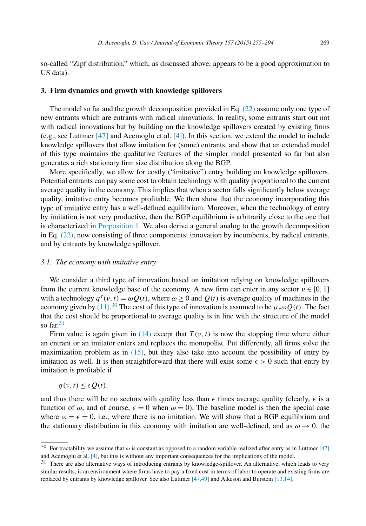<span id="page-14-0"></span>so-called "Zipf distribution," which, as discussed above, appears to be a good approximation to US data).

#### **3. Firm dynamics and growth with knowledge spillovers**

The model so far and the growth decomposition provided in Eq. [\(22\)](#page-11-0) assume only one type of new entrants which are entrants with radical innovations. In reality, some entrants start out not with radical innovations but by building on the knowledge spillovers created by existing firms (e.g., see Luttmer [\[47\]](#page-38-0) and Acemoglu et al. [\[4\]\)](#page-37-0). In this section, we extend the model to include knowledge spillovers that allow imitation for (some) entrants, and show that an extended model of this type maintains the qualitative features of the simpler model presented so far but also generates a rich stationary firm size distribution along the BGP.

More specifically, we allow for costly ("imitative") entry building on knowledge spillovers. Potential entrants can pay some cost to obtain technology with quality proportional to the current average quality in the economy. This implies that when a sector falls significantly below average quality, imitative entry becomes profitable. We then show that the economy incorporating this type of imitative entry has a well-defined equilibrium. Moreover, when the technology of entry by imitation is not very productive, then the BGP equilibrium is arbitrarily close to the one that is characterized in [Proposition 1.](#page-12-0) We also derive a general analog to the growth decomposition in Eq. [\(22\),](#page-11-0) now consisting of three components: innovation by incumbents, by radical entrants, and by entrants by knowledge spillover.

### *3.1. The economy with imitative entry*

We consider a third type of innovation based on imitation relying on knowledge spillovers from the current knowledge base of the economy. A new firm can enter in any sector  $v \in [0, 1]$ with a technology  $q^e(v, t) = \omega Q(t)$ , where  $\omega \ge 0$  and  $Q(t)$  is average quality of machines in the economy given by  $(11)$ .<sup>30</sup> The cost of this type of innovation is assumed to be  $\mu_e \omega Q(t)$ . The fact that the cost should be proportional to average quality is in line with the structure of the model so  $far<sup>31</sup>$ 

Firm value is again given in [\(14\)](#page-8-0) except that  $T(v, t)$  is now the stopping time where either an entrant or an imitator enters and replaces the monopolist. Put differently, all firms solve the maximization problem as in  $(15)$ , but they also take into account the possibility of entry by imitation as well. It is then straightforward that there will exist some  $\epsilon > 0$  such that entry by imitation is profitable if

$$
q(v, t) \le \epsilon Q(t),
$$

and thus there will be no sectors with quality less than  $\epsilon$  times average quality (clearly,  $\epsilon$  is a function of  $\omega$ , and of course,  $\epsilon = 0$  when  $\omega = 0$ ). The baseline model is then the special case where  $\omega = \epsilon = 0$ , i.e., where there is no imitation. We will show that a BGP equilibrium and the stationary distribution in this economy with imitation are well-defined, and as  $\omega \to 0$ , the

<sup>&</sup>lt;sup>30</sup> For tractability we assume that  $\omega$  is constant as opposed to a random variable realized after entry as in Luttmer [\[47\]](#page-38-0) and Acemoglu et al. [\[4\],](#page-37-0) but this is without any important consequences for the implications of the model.

<sup>31</sup> There are also alternative ways of introducing entrants by knowledge-spillover. An alternative, which leads to very similar results, is an environment where firms have to pay a fixed cost in terms of labor to operate and existing firms are replaced by entrants by knowledge spillover. See also Luttmer [\[47,49\]](#page-38-0) and Atkeson and Burstein [\[13,14\].](#page-37-0)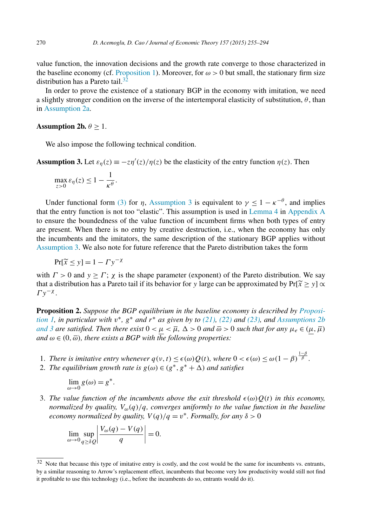<span id="page-15-0"></span>value function, the innovation decisions and the growth rate converge to those characterized in the baseline economy (cf. [Proposition 1\)](#page-12-0). Moreover, for  $\omega > 0$  but small, the stationary firm size distribution has a Pareto tail. $32$ 

In order to prove the existence of a stationary BGP in the economy with imitation, we need a slightly stronger condition on the inverse of the intertemporal elasticity of substitution,  $\theta$ , than in [Assumption 2a.](#page-10-0)

### **Assumption 2b.**  $\theta \geq 1$ .

We also impose the following technical condition.

**Assumption 3.** Let  $\varepsilon_{\eta}(z) \equiv -z\eta'(z)/\eta(z)$  be the elasticity of the entry function  $\eta(z)$ . Then

$$
\max_{z>0} \varepsilon_{\eta}(z) \le 1 - \frac{1}{\kappa^{\theta}}.
$$

Under functional form [\(3\)](#page-6-0) for *η*, Assumption 3 is equivalent to  $\gamma < 1 - \kappa^{-\theta}$ , and implies that the entry function is not too "elastic". This assumption is used in [Lemma 4](#page-27-0) in [Appendix A](#page-23-0) to ensure the boundedness of the value function of incumbent firms when both types of entry are present. When there is no entry by creative destruction, i.e., when the economy has only the incumbents and the imitators, the same description of the stationary BGP applies without Assumption 3. We also note for future reference that the Pareto distribution takes the form

$$
\Pr[\widetilde{x} \le y] = 1 - \Gamma y^{-\chi}
$$

with  $\Gamma > 0$  and  $y \ge \Gamma$ ;  $\chi$  is the shape parameter (exponent) of the Pareto distribution. We say that a distribution has a Pareto tail if its behavior for *y* large can be approximated by  $Pr[\tilde{x} \ge y] \propto$ *Γy*−*<sup>χ</sup>* .

**Proposition 2.** *Suppose the BGP equilibrium in the baseline economy is described by [Proposi](#page-12-0)*[tion 1,](#page-12-0) in particular with  $v^*$ ,  $g^*$  and  $r^*$  as given by to [\(21\),](#page-11-0) [\(22\)](#page-11-0) and [\(23\),](#page-11-0) and Assumptions 2b and 3 are satisfied. Then there exist  $0<\mu<\overline{\mu}$ ,  $\Delta>0$  and  $\overline{\omega}>0$  such that for any  $\mu_e\in(\mu,\overline{\mu})$  $\alpha$ *md*  $\omega \in (0, \overline{\omega})$ *, there exists*  $\alpha$  *BGP* with the following properties:

- 1. *There* is *imitative entry whenever*  $q(v, t) \leq \epsilon(\omega)Q(t)$ *, where*  $0 < \epsilon(\omega) \leq \omega(1-\beta)^{\frac{1-\beta}{\beta}}$ *.*
- 2. *The equilibrium growth rate is*  $g(\omega) \in (g^*, g^* + \Delta)$  *and satisfies*

$$
\lim_{\omega \to 0} g(\omega) = g^*.
$$

3. The value function of the incumbents above the exit threshold  $\epsilon(\omega)Q(t)$  in this economy, *normalized by quality,*  $V_{\omega}(q)/q$ *, converges uniformly to the value function in the baseline economy normalized by quality,*  $V(q)/q = v^*$ *. Formally, for any*  $\delta > 0$ 

$$
\lim_{\omega \to 0} \sup_{q \ge \delta Q} \left| \frac{V_{\omega}(q) - V(q)}{q} \right| = 0.
$$

<sup>&</sup>lt;sup>32</sup> Note that because this type of imitative entry is costly, and the cost would be the same for incumbents vs. entrants, by a similar reasoning to Arrow's replacement effect, incumbents that become very low productivity would still not find it profitable to use this technology (i.e., before the incumbents do so, entrants would do it).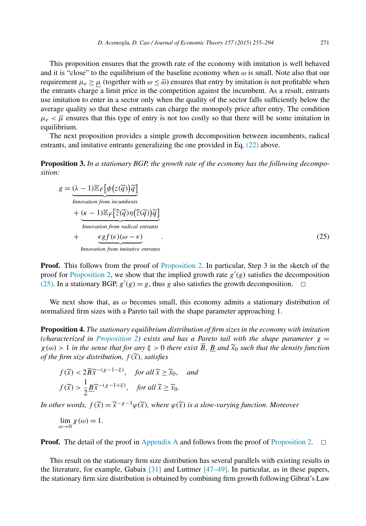<span id="page-16-0"></span>This proposition ensures that the growth rate of the economy with imitation is well behaved and it is "close" to the equilibrium of the baseline economy when *ω* is small. Note also that our requirement  $\mu_e \ge \mu$  (together with  $\omega \le \bar{\omega}$ ) ensures that entry by imitation is not profitable when the entrants charge a limit price in the competition against the incumbent. As a result, entrants use imitation to enter in a sector only when the quality of the sector falls sufficiently below the average quality so that these entrants can charge the monopoly price after entry. The condition  $\mu_e < \overline{\mu}$  ensures that this type of entry is not too costly so that there will be some imitation in equilibrium.

The next proposition provides a simple growth decomposition between incumbents, radical entrants, and imitative entrants generalizing the one provided in Eq. [\(22\)](#page-11-0) above.

**Proposition 3.** *In a stationary BGP, the growth rate of the economy has the following decomposition:*

$$
g = \underbrace{(\lambda - 1)\mathbb{E}_{F}[\phi(z(\widetilde{q}))\widetilde{q}]}_{\text{Innovation from incumbents}} \n+ \underbrace{(\kappa - 1)\mathbb{E}_{F}[\widetilde{z}(\widetilde{q})\eta(\widetilde{z}(\widetilde{q}))\widetilde{q}]}_{\text{Innovation from radical entrants}} \n+ \underbrace{\epsilon g f(\epsilon)(\omega - \epsilon)}_{\text{Innovation from imitative entrants}}.
$$
\n(25)

**Proof.** This follows from the proof of [Proposition 2.](#page-15-0) In particular, Step 3 in the sketch of the proof for [Proposition 2,](#page-15-0) we show that the implied growth rate  $g'(g)$  satisfies the decomposition (25). In a stationary BGP,  $g'(g) = g$ , thus *g* also satisfies the growth decomposition.  $\Box$ 

We next show that, as  $\omega$  becomes small, this economy admits a stationary distribution of normalized firm sizes with a Pareto tail with the shape parameter approaching 1.

**Proposition 4.** *The stationary equilibrium distribution of firm sizes in the economy with imitation (characterized in [Proposition 2\)](#page-15-0) exists and has a Pareto tail with the shape parameter*  $\chi$  =  $\chi(\omega) > 1$  in the sense that for any  $\xi > 0$  there exist  $\overline{B}$ , B and  $\widetilde{x}_0$  such that the density function *of the firm size distribution,*  $f(\tilde{x})$ *, satisfies* 

$$
f(\widetilde{x}) < 2\overline{B}\widetilde{x}^{-(\chi-1-\xi)}, \quad \text{for all } \widetilde{x} \ge \widetilde{x}_0, \quad \text{and}
$$
\n
$$
f(\widetilde{x}) > \frac{1}{2}\underline{B}\widetilde{x}^{-(\chi-1+\xi)}, \quad \text{for all } \widetilde{x} \ge \widetilde{x}_0.
$$

*In other words,*  $f(\tilde{x}) = \tilde{x}^{-\chi-1}\varphi(\tilde{x})$ *, where*  $\varphi(\tilde{x})$  *is a slow-varying function. Moreover* 

 $\lim_{\omega \to 0} \chi(\omega) = 1.$ 

**Proof.** The detail of the proof in [Appendix A](#page-23-0) and follows from the proof of [Proposition 2.](#page-15-0)  $\Box$ 

This result on the stationary firm size distribution has several parallels with existing results in the literature, for example, Gabaix [\[31\]](#page-38-0) and Luttmer [\[47–49\].](#page-38-0) In particular, as in these papers, the stationary firm size distribution is obtained by combining firm growth following Gibrat's Law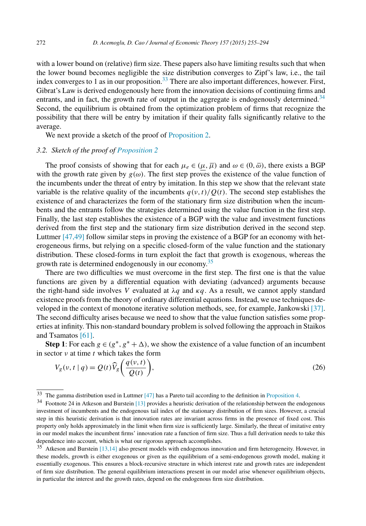<span id="page-17-0"></span>with a lower bound on (relative) firm size. These papers also have limiting results such that when the lower bound becomes negligible the size distribution converges to Zipf's law, i.e., the tail index converges to 1 as in our proposition.<sup>33</sup> There are also important differences, however. First, Gibrat's Law is derived endogenously here from the innovation decisions of continuing firms and entrants, and in fact, the growth rate of output in the aggregate is endogenously determined.<sup>34</sup> Second, the equilibrium is obtained from the optimization problem of firms that recognize the possibility that there will be entry by imitation if their quality falls significantly relative to the average.

We next provide a sketch of the proof of [Proposition 2.](#page-15-0)

#### *3.2. Sketch of the proof of [Proposition 2](#page-15-0)*

The proof consists of showing that for each  $\mu_e \in (\mu, \overline{\mu})$  and  $\omega \in (0, \overline{\omega})$ , there exists a BGP with the growth rate given by  $g(\omega)$ . The first step proves the existence of the value function of the incumbents under the threat of entry by imitation. In this step we show that the relevant state variable is the relative quality of the incumbents  $q(v, t)/Q(t)$ . The second step establishes the existence of and characterizes the form of the stationary firm size distribution when the incumbents and the entrants follow the strategies determined using the value function in the first step. Finally, the last step establishes the existence of a BGP with the value and investment functions derived from the first step and the stationary firm size distribution derived in the second step. Luttmer [\[47,49\]](#page-38-0) follow similar steps in proving the existence of a BGP for an economy with heterogeneous firms, but relying on a specific closed-form of the value function and the stationary distribution. These closed-forms in turn exploit the fact that growth is exogenous, whereas the growth rate is determined endogenously in our economy.<sup>35</sup>

There are two difficulties we must overcome in the first step. The first one is that the value functions are given by a differential equation with deviating (advanced) arguments because the right-hand side involves *V* evaluated at  $\lambda q$  and  $\kappa q$ . As a result, we cannot apply standard existence proofs from the theory of ordinary differential equations. Instead, we use techniques developed in the context of monotone iterative solution methods, see, for example, Jankowski [\[37\].](#page-38-0) The second difficulty arises because we need to show that the value function satisfies some properties at infinity. This non-standard boundary problem is solved following the approach in Staikos and Tsamatos [\[61\].](#page-39-0)

**Step 1**: For each  $g \in (g^*, g^* + \Delta)$ , we show the existence of a value function of an incumbent in sector *ν* at time *t* which takes the form

$$
V_g(v, t | q) = Q(t)\widehat{V}_g\left(\frac{q(v, t)}{Q(t)}\right),\tag{26}
$$

<sup>33</sup> The gamma distribution used in Luttmer [\[47\]](#page-38-0) has a Pareto tail according to the definition in [Proposition 4.](#page-16-0)

<sup>34</sup> Footnote 24 in Atkeson and Burstein [\[13\]](#page-37-0) provides a heuristic derivation of the relationship between the endogenous investment of incumbents and the endogenous tail index of the stationary distribution of firm sizes. However, a crucial step in this heuristic derivation is that innovation rates are invariant across firms in the presence of fixed cost. This property only holds approximately in the limit when firm size is sufficiently large. Similarly, the threat of imitative entry in our model makes the incumbent firms' innovation rate a function of firm size. Thus a full derivation needs to take this dependence into account, which is what our rigorous approach accomplishes.

<sup>35</sup> Atkeson and Burstein [\[13,14\]](#page-37-0) also present models with endogenous innovation and firm heterogeneity. However, in these models, growth is either exogenous or given as the equilibrium of a semi-endogenous growth model, making it essentially exogenous. This ensures a block-recursive structure in which interest rate and growth rates are independent of firm size distribution. The general equilibrium interactions present in our model arise whenever equilibrium objects, in particular the interest and the growth rates, depend on the endogenous firm size distribution.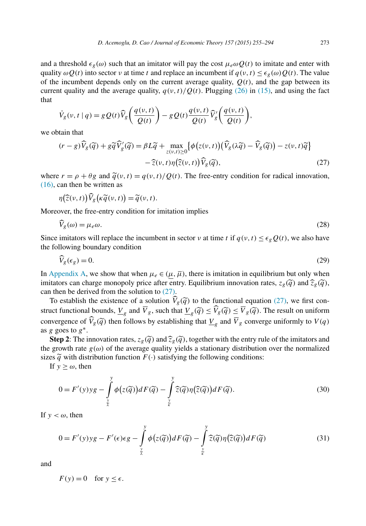<span id="page-18-0"></span>and a threshold  $\epsilon_g(\omega)$  such that an imitator will pay the cost  $\mu_e \omega Q(t)$  to imitate and enter with quality  $\omega Q(t)$  into sector *ν* at time *t* and replace an incumbent if  $q(v, t) \leq \epsilon_g(\omega)Q(t)$ . The value of the incumbent depends only on the current average quality,  $Q(t)$ , and the gap between its current quality and the average quality,  $q(v, t)/Q(t)$ . Plugging [\(26\)](#page-17-0) in [\(15\),](#page-8-0) and using the fact that

$$
\dot{V}_g(v,t \mid q) = g Q(t) \widehat{V}_g\left(\frac{q(v,t)}{Q(t)}\right) - g Q(t) \frac{q(v,t)}{Q(t)} \widehat{V}_g'\left(\frac{q(v,t)}{Q(t)}\right),
$$

we obtain that

$$
(r - g)\widehat{V}_g(\widetilde{q}) + g\widetilde{q}\widehat{V}_g'(\widetilde{q}) = \beta L\widetilde{q} + \max_{z(v,t) \ge 0} \{ \phi(z(v,t)) (\widehat{V}_g(\lambda \widetilde{q}) - \widehat{V}_g(\widetilde{q})) - z(v,t)\widetilde{q} \}
$$

$$
- \widehat{z}(v,t)\eta(\widehat{z}(v,t))\widehat{V}_g(\widetilde{q}), \tag{27}
$$

where  $r = \rho + \theta g$  and  $\tilde{q}(v, t) = q(v, t)/Q(t)$ . The free-entry condition for radical innovation, [\(16\),](#page-9-0) can then be written as

$$
\eta\big(\widehat{z}(\nu,t)\big)\widehat{V}_g\big(\kappa\widetilde{q}(\nu,t)\big)=\widetilde{q}(\nu,t).
$$

Moreover, the free-entry condition for imitation implies

$$
V_g(\omega) = \mu_e \omega. \tag{28}
$$

Since imitators will replace the incumbent in sector *ν* at time *t* if  $q(v, t) \leq \epsilon_g Q(t)$ , we also have the following boundary condition

$$
V_g(\epsilon_g) = 0.\tag{29}
$$

In [Appendix A,](#page-23-0) we show that when  $\mu_e \in (\mu, \overline{\mu})$ , there is imitation in equilibrium but only when imitators can charge monopoly price after entry. Equilibrium innovation rates,  $z_g(\tilde{q})$  and  $\hat{z}_g(\tilde{q})$ , can then be derived from the solution to (27).

To establish the existence of a solution  $V_g(\tilde{q})$  to the functional equation (27), we first construct functional bounds,  $\frac{V}{g}$  and  $\overline{V}_g$ , such that  $\frac{V}{g}(\widetilde{q}) \leq \widetilde{V}_g(\widetilde{q}) \leq \overline{V}_g(\widetilde{q})$ . The result on uniform convergence of  $V_g(\tilde{q})$  then follows by establishing that  $\underline{V}_g$  and  $V_g$  converge uniformly to  $V(q)$ as *g* goes to *g*∗.

**Step 2**: The innovation rates,  $z_g(\tilde{q})$  and  $\hat{z}_g(\tilde{q})$ , together with the entry rule of the imitators and the growth rate  $g(\omega)$  of the average quality yields a stationary distribution over the normalized sizes  $\tilde{q}$  with distribution function  $F(\cdot)$  satisfying the following conditions:

If  $y \geq \omega$ , then

$$
0 = F'(y)yg - \int_{\frac{y}{\lambda}}^{y} \phi(z(\tilde{q}))dF(\tilde{q}) - \int_{\frac{y}{\lambda}}^{y} \tilde{z}(\tilde{q})\eta(\tilde{z}(\tilde{q}))dF(\tilde{q}).
$$
\n(30)

If  $y < \omega$ , then

$$
0 = F'(y)yg - F'(\epsilon)\epsilon g - \int_{\frac{y}{\lambda}}^{y} \phi(z(\widetilde{q}))dF(\widetilde{q}) - \int_{\frac{y}{\kappa}}^{y} \widehat{z}(\widetilde{q})\eta(\widehat{z}(\widetilde{q}))dF(\widetilde{q})
$$
(31)

and

 $F(y) = 0$  for  $y \le \epsilon$ .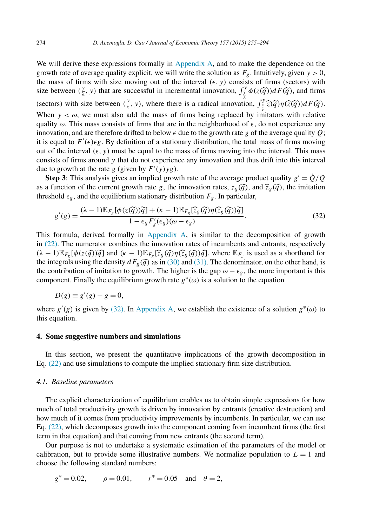<span id="page-19-0"></span>We will derive these expressions formally in [Appendix A,](#page-23-0) and to make the dependence on the growth rate of average quality explicit, we will write the solution as  $F_g$ . Intuitively, given  $y > 0$ , the mass of firms with size moving out of the interval  $(\epsilon, y)$  consists of firms (sectors) with size between  $(\frac{y}{\lambda}, y)$  that are successful in incremental innovation,  $\int_{\frac{y}{\lambda}}^{y} \phi(z(\tilde{q})) dF(\tilde{q})$ , and firms (sectors) with size between  $(\frac{y}{\kappa}, y)$ , where there is a radical innovation,  $\int_{\frac{y}{\kappa}}^{y} \hat{z}(\tilde{q}) \eta(\hat{z}(\tilde{q})) dF(\tilde{q})$ . When  $y < \omega$ , we must also add the mass of firms being replaced by imitators with relative quality  $\omega$ . This mass consists of firms that are in the neighborhood of  $\epsilon$ , do not experience any innovation, and are therefore drifted to below  $\epsilon$  due to the growth rate g of the average quality Q; it is equal to  $F'(\epsilon)\epsilon g$ . By definition of a stationary distribution, the total mass of firms moving out of the interval  $(\epsilon, y)$  must be equal to the mass of firms moving into the interval. This mass consists of firms around *y* that do not experience any innovation and thus drift into this interval due to growth at the rate *g* (given by  $F'(y)yg$ ).

**Step 3**: This analysis gives an implied growth rate of the average product quality  $g' = \dot{Q}/Q$ as a function of the current growth rate *g*, the innovation rates,  $z_g(\tilde{q})$ , and  $\widehat{z}_g(\tilde{q})$ , the imitation threshold  $\epsilon_g$ , and the equilibrium stationary distribution  $F_g$ . In particular,

$$
g'(g) = \frac{(\lambda - 1)\mathbb{E}_{F_g}[\phi(z(\widetilde{q}))\widetilde{q}] + (\kappa - 1)\mathbb{E}_{F_g}[\widehat{z}_g(\widetilde{q})\eta(\widehat{z}_g(\widetilde{q}))\widetilde{q}]}{1 - \epsilon_g F'_g(\epsilon_g)(\omega - \epsilon_g)}.
$$
(32)

This formula, derived formally in [Appendix A,](#page-23-0) is similar to the decomposition of growth in [\(22\).](#page-11-0) The numerator combines the innovation rates of incumbents and entrants, respectively  $(\lambda - 1) \mathbb{E}_{F_g} [\phi(z(\tilde{q}))\tilde{q}]$  and  $(\kappa - 1) \mathbb{E}_{F_g} [\tilde{z}_g(\tilde{q})\eta(\tilde{z}_g(\tilde{q}))\tilde{q}]$ , where  $\mathbb{E}_{F_g}$  is used as a shorthand for the integrals using the density  $dF_g(\tilde{q})$  as in [\(30\)](#page-18-0) and [\(31\).](#page-18-0) The denominator, on the other hand, is the contribution of imitation to growth. The higher is the gap  $\omega - \epsilon_g$ , the more important is this component. Finally the equilibrium growth rate  $g^*(\omega)$  is a solution to the equation

$$
D(g) \equiv g'(g) - g = 0,
$$

where  $g'(g)$  is given by (32). In [Appendix A,](#page-23-0) we establish the existence of a solution  $g^*(\omega)$  to this equation.

#### **4. Some suggestive numbers and simulations**

In this section, we present the quantitative implications of the growth decomposition in Eq. [\(22\)](#page-11-0) and use simulations to compute the implied stationary firm size distribution.

#### *4.1. Baseline parameters*

The explicit characterization of equilibrium enables us to obtain simple expressions for how much of total productivity growth is driven by innovation by entrants (creative destruction) and how much of it comes from productivity improvements by incumbents. In particular, we can use Eq. [\(22\),](#page-11-0) which decomposes growth into the component coming from incumbent firms (the first term in that equation) and that coming from new entrants (the second term).

Our purpose is not to undertake a systematic estimation of the parameters of the model or calibration, but to provide some illustrative numbers. We normalize population to  $L = 1$  and choose the following standard numbers:

$$
g^* = 0.02
$$
,  $\rho = 0.01$ ,  $r^* = 0.05$  and  $\theta = 2$ ,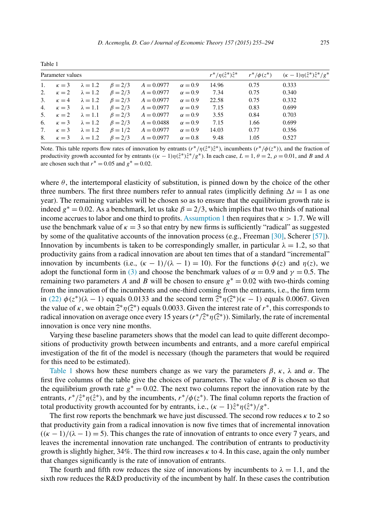<span id="page-20-0"></span>

| Parameter values |                                               |                                               |                                                                                |                | $r^*/\eta(\hat{z}^*)\hat{z}^*$ $r^*/\phi(z^*)$ $(\kappa-1)\eta(\hat{z}^*)\hat{z}^*/g^*$ |      |       |
|------------------|-----------------------------------------------|-----------------------------------------------|--------------------------------------------------------------------------------|----------------|-----------------------------------------------------------------------------------------|------|-------|
|                  | 1. $\kappa = 3$ $\lambda = 1.2$ $\beta = 2/3$ |                                               | $A = 0.0977$                                                                   | $\alpha = 0.9$ | 14.96                                                                                   | 0.75 | 0.333 |
|                  |                                               |                                               | 2. $\kappa = 2$ $\lambda = 1.2$ $\beta = 2/3$ $A = 0.0977$ $\alpha = 0.9$      |                | 7.34                                                                                    | 0.75 | 0.340 |
|                  | 3. $\kappa = 4$ $\lambda = 1.2$ $\beta = 2/3$ |                                               | $A = 0.0977$                                                                   | $\alpha = 0.9$ | 22.58                                                                                   | 0.75 | 0.332 |
|                  | 4. $\kappa = 3$ $\lambda = 1.1$ $\beta = 2/3$ |                                               | $A = 0.0977$                                                                   | $\alpha = 0.9$ | 7.15                                                                                    | 0.83 | 0.699 |
|                  |                                               |                                               | 5. $\kappa = 2$ $\lambda = 1.1$ $\beta = 2/3$ $A = 0.0977$                     | $\alpha = 0.9$ | 3.55                                                                                    | 0.84 | 0.703 |
|                  |                                               |                                               | 6. $\kappa = 3$ $\lambda = 1.2$ $\beta = 2/3$ $A = 0.0488$                     | $\alpha = 0.9$ | 7.15                                                                                    | 1.66 | 0.699 |
|                  |                                               | 7. $\kappa = 3$ $\lambda = 1.2$ $\beta = 1/2$ | $A = 0.0977$                                                                   | $\alpha = 0.9$ | 14.03                                                                                   | 0.77 | 0.356 |
|                  |                                               |                                               | 8. $\kappa = 3$ $\lambda = 1.2$ $\beta = 2/3$ $A = 0.0977$ $\alpha = 0.8$ 9.48 |                |                                                                                         | 1.05 | 0.527 |

Note. This table reports flow rates of innovation by entrants  $(r^*/\eta(\hat{z}^*)\hat{z}^*)$ , incumbents  $(r^*/\phi(z^*))$ , and the fraction of productivity growth accounted for by entrants  $((\kappa - 1)\eta(\hat{z}^*)\hat{z}^*/g^*)$ . In each case,  $L = 1$ ,  $\theta = 2$ ,  $\rho = 0.01$ , and *B* and *A* are chosen such that  $r^* = 0.05$  and  $g^* = 0.02$ .

where  $\theta$ , the intertemporal elasticity of substitution, is pinned down by the choice of the other three numbers. The first three numbers refer to annual rates (implicitly defining  $\Delta t = 1$  as one year). The remaining variables will be chosen so as to ensure that the equilibrium growth rate is indeed  $g^* = 0.02$ . As a benchmark, let us take  $\beta = 2/3$ , which implies that two thirds of national income accrues to labor and one third to profits. [Assumption 1](#page-7-0) then requires that  $\kappa > 1.7$ . We will use the benchmark value of  $\kappa = 3$  so that entry by new firms is sufficiently "radical" as suggested by some of the qualitative accounts of the innovation process (e.g., Freeman [\[30\],](#page-38-0) Scherer [\[57\]\)](#page-39-0). Innovation by incumbents is taken to be correspondingly smaller, in particular  $\lambda = 1.2$ , so that productivity gains from a radical innovation are about ten times that of a standard "incremental" innovation by incumbents (i.e.,  $(\kappa - 1)/(\lambda - 1) = 10$ ). For the functions  $\phi(z)$  and  $\eta(z)$ , we adopt the functional form in [\(3\)](#page-6-0) and choose the benchmark values of  $\alpha = 0.9$  and  $\gamma = 0.5$ . The remaining two parameters *A* and *B* will be chosen to ensure  $g^* = 0.02$  with two-thirds coming from the innovation of the incumbents and one-third coming from the entrants, i.e., the firm term in [\(22\)](#page-11-0)  $\phi(z^*) (\lambda - 1)$  equals 0.0133 and the second term  $\hat{z}^* \eta(\hat{z}^*) (\kappa - 1)$  equals 0.0067. Given the value of *κ*, we obtain  $\hat{z}^* \eta(\hat{z}^*)$  equals 0.0033. Given the interest rate of  $r^*$ , this corresponds to radical innovation on average once every 15 years ( $r^*/\tilde{z}^* \eta(\tilde{z}^*)$ ). Similarly, the rate of incremental innovation is once very nine months.

Varying these baseline parameters shows that the model can lead to quite different decompositions of productivity growth between incumbents and entrants, and a more careful empirical investigation of the fit of the model is necessary (though the parameters that would be required for this need to be estimated).

Table 1 shows how these numbers change as we vary the parameters  $\beta$ ,  $\kappa$ ,  $\lambda$  and  $\alpha$ . The first five columns of the table give the choices of parameters. The value of *B* is chosen so that the equilibrium growth rate  $g^* = 0.02$ . The next two columns report the innovation rate by the entrants,  $r^*/\hat{z}^* \eta(\hat{z}^*)$ , and by the incumbents,  $r^*/\phi(z^*)$ . The final column reports the fraction of total productivity growth accounted for by entrants, i.e.,  $(\kappa - 1)\hat{z}^* \eta(\hat{z}^*)/g^*$ .

The first row reports the benchmark we have just discussed. The second row reduces *κ* to 2 so that productivity gain from a radical innovation is now five times that of incremental innovation  $((\kappa - 1)/(\lambda - 1) = 5)$ . This changes the rate of innovation of entrants to once every 7 years, and leaves the incremental innovation rate unchanged. The contribution of entrants to productivity growth is slightly higher, 34%. The third row increases *κ* to 4. In this case, again the only number that changes significantly is the rate of innovation of entrants.

The fourth and fifth row reduces the size of innovations by incumbents to  $\lambda = 1.1$ , and the sixth row reduces the R&D productivity of the incumbent by half. In these cases the contribution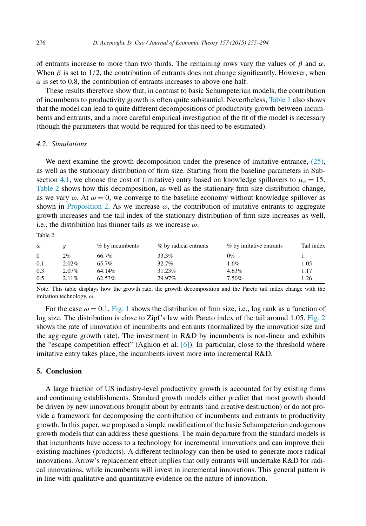<span id="page-21-0"></span>of entrants increase to more than two thirds. The remaining rows vary the values of *β* and *α*. When  $\beta$  is set to 1/2, the contribution of entrants does not change significantly. However, when  $\alpha$  is set to 0.8, the contribution of entrants increases to above one half.

These results therefore show that, in contrast to basic Schumpeterian models, the contribution of incumbents to productivity growth is often quite substantial. Nevertheless, [Table 1](#page-20-0) also shows that the model can lead to quite different decompositions of productivity growth between incumbents and entrants, and a more careful empirical investigation of the fit of the model is necessary (though the parameters that would be required for this need to be estimated).

## *4.2. Simulations*

We next examine the growth decomposition under the presence of imitative entrance, [\(25\),](#page-16-0) as well as the stationary distribution of firm size. Starting from the baseline parameters in Sub-section [4.1,](#page-19-0) we choose the cost of (imitative) entry based on knowledge spillovers to  $\mu_e = 15$ . Table 2 shows how this decomposition, as well as the stationary firm size distribution change, as we vary  $\omega$ . At  $\omega = 0$ , we converge to the baseline economy without knowledge spillover as shown in [Proposition 2.](#page-15-0) As we increase  $\omega$ , the contribution of imitative entrants to aggregate growth increases and the tail index of the stationary distribution of firm size increases as well, i.e., the distribution has thinner tails as we increase *ω*.

| ۰.<br>. .<br>۰.<br>×<br>× |
|---------------------------|
|---------------------------|

| $\omega$ |          | % by incumbents | % by radical entrants | % by imitative entrants | Tail index |
|----------|----------|-----------------|-----------------------|-------------------------|------------|
| $\Omega$ | 2%       | 66.7%           | 33.3%                 | 0%                      |            |
| 0.1      | $2.02\%$ | 65.7%           | 32.7%                 | 1.6%                    | 1.05       |
| 0.3      | $2.07\%$ | 64.14%          | 31.23%                | 4.63%                   | 1.17       |
| 0.5      | $2.11\%$ | 62.53%          | 29.97%                | 7.50%                   | 1.26       |

Note. This table displays how the growth rate, the growth decomposition and the Pareto tail index change with the imitation technology, *ω*.

For the case  $\omega = 0.1$ , [Fig. 1](#page-22-0) shows the distribution of firm size, i.e., log rank as a function of log size. The distribution is close to Zipf's law with Pareto index of the tail around 1*.*05. [Fig. 2](#page-22-0) shows the rate of innovation of incumbents and entrants (normalized by the innovation size and the aggregate growth rate). The investment in R&D by incumbents is non-linear and exhibits the "escape competition effect" (Aghion et al. [\[6\]\)](#page-37-0). In particular, close to the threshold where imitative entry takes place, the incumbents invest more into incremental R&D.

#### **5. Conclusion**

A large fraction of US industry-level productivity growth is accounted for by existing firms and continuing establishments. Standard growth models either predict that most growth should be driven by new innovations brought about by entrants (and creative destruction) or do not provide a framework for decomposing the contribution of incumbents and entrants to productivity growth. In this paper, we proposed a simple modification of the basic Schumpeterian endogenous growth models that can address these questions. The main departure from the standard models is that incumbents have access to a technology for incremental innovations and can improve their existing machines (products). A different technology can then be used to generate more radical innovations. Arrow's replacement effect implies that only entrants will undertake R&D for radical innovations, while incumbents will invest in incremental innovations. This general pattern is in line with qualitative and quantitative evidence on the nature of innovation.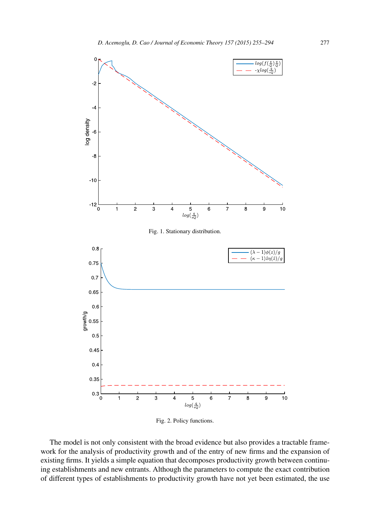<span id="page-22-0"></span>

Fig. 2. Policy functions.

The model is not only consistent with the broad evidence but also provides a tractable framework for the analysis of productivity growth and of the entry of new firms and the expansion of existing firms. It yields a simple equation that decomposes productivity growth between continuing establishments and new entrants. Although the parameters to compute the exact contribution of different types of establishments to productivity growth have not yet been estimated, the use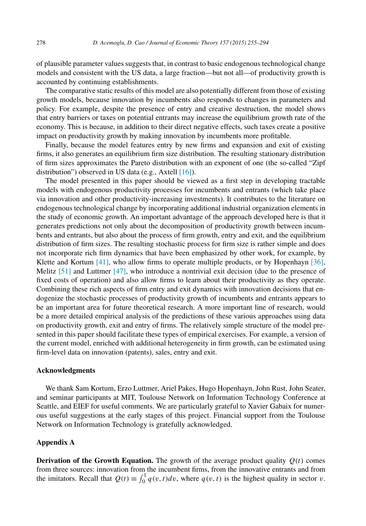<span id="page-23-0"></span>of plausible parameter values suggests that, in contrast to basic endogenous technological change models and consistent with the US data, a large fraction—but not all—of productivity growth is accounted by continuing establishments.

The comparative static results of this model are also potentially different from those of existing growth models, because innovation by incumbents also responds to changes in parameters and policy. For example, despite the presence of entry and creative destruction, the model shows that entry barriers or taxes on potential entrants may increase the equilibrium growth rate of the economy. This is because, in addition to their direct negative effects, such taxes create a positive impact on productivity growth by making innovation by incumbents more profitable.

Finally, because the model features entry by new firms and expansion and exit of existing firms, it also generates an equilibrium firm size distribution. The resulting stationary distribution of firm sizes approximates the Pareto distribution with an exponent of one (the so-called "Zipf distribution") observed in US data (e.g., Axtell [\[16\]\)](#page-37-0).

The model presented in this paper should be viewed as a first step in developing tractable models with endogenous productivity processes for incumbents and entrants (which take place via innovation and other productivity-increasing investments). It contributes to the literature on endogenous technological change by incorporating additional industrial organization elements in the study of economic growth. An important advantage of the approach developed here is that it generates predictions not only about the decomposition of productivity growth between incumbents and entrants, but also about the process of firm growth, entry and exit, and the equilibrium distribution of firm sizes. The resulting stochastic process for firm size is rather simple and does not incorporate rich firm dynamics that have been emphasized by other work, for example, by Klette and Kortum  $[41]$ , who allow firms to operate multiple products, or by Hopenhayn  $[36]$ , Melitz [\[51\]](#page-38-0) and Luttmer [\[47\],](#page-38-0) who introduce a nontrivial exit decision (due to the presence of fixed costs of operation) and also allow firms to learn about their productivity as they operate. Combining these rich aspects of firm entry and exit dynamics with innovation decisions that endogenize the stochastic processes of productivity growth of incumbents and entrants appears to be an important area for future theoretical research. A more important line of research, would be a more detailed empirical analysis of the predictions of these various approaches using data on productivity growth, exit and entry of firms. The relatively simple structure of the model presented in this paper should facilitate these types of empirical exercises. For example, a version of the current model, enriched with additional heterogeneity in firm growth, can be estimated using firm-level data on innovation (patents), sales, entry and exit.

#### **Acknowledgments**

We thank Sam Kortum, Erzo Luttmer, Ariel Pakes, Hugo Hopenhayn, John Rust, John Seater, and seminar participants at MIT, Toulouse Network on Information Technology Conference at Seattle, and EIEF for useful comments. We are particularly grateful to Xavier Gabaix for numerous useful suggestions at the early stages of this project. Financial support from the Toulouse Network on Information Technology is gratefully acknowledged.

## **Appendix A**

**Derivation of the Growth Equation.** The growth of the average product quality  $Q(t)$  comes from three sources: innovation from the incumbent firms, from the innovative entrants and from the imitators. Recall that  $Q(t) \equiv \int_0^1 q(v, t) dv$ , where  $q(v, t)$  is the highest quality in sector *v*.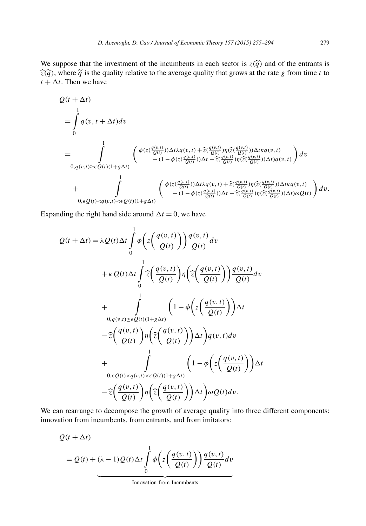We suppose that the investment of the incumbents in each sector is  $z(\tilde{q})$  and of the entrants is  $\hat{z}(\tilde{q})$ , where  $\tilde{q}$  is the quality relative to the average quality that grows at the rate *g* from time *t* to  $t + \Delta t$ . Then we have

$$
\begin{split} &Q(t+\Delta t)\\ &=\int\limits_{0}^{1}q(v,t+\Delta t)dv\\ &=\int\limits_{0,q(v,t)\geq\epsilon}^{1}\int\limits_{Q(t)(1+g\Delta t)}\left(\begin{array}{c}\phi(z(\frac{q(v,t)}{Q(t)}))\Delta t\lambda q(v,t)+\widehat{z}(\frac{q(v,t)}{Q(t)})\eta(\widehat{z}(\frac{q(v,t)}{Q(t)}))\Delta t\kappa q(v,t)\\+(1-\phi(z(\frac{q(v,t)}{Q(t)}))\Delta t-\widehat{z}(\frac{q(v,t)}{Q(t)})\eta(\widehat{z}(\frac{q(v,t)}{Q(t)}))\Delta t)q(v,t)\end{array}\right)dv\\ &+\int\limits_{0,\epsilon Q(t)
$$

Expanding the right hand side around  $\Delta t = 0$ , we have

$$
Q(t + \Delta t) = \lambda Q(t) \Delta t \int_{0}^{1} \phi \left( z \left( \frac{q(v, t)}{Q(t)} \right) \right) \frac{q(v, t)}{Q(t)} dv
$$
  
+  $\kappa Q(t) \Delta t \int_{0}^{1} \hat{z} \left( \frac{q(v, t)}{Q(t)} \right) \eta \left( \hat{z} \left( \frac{q(v, t)}{Q(t)} \right) \right) \frac{q(v, t)}{Q(t)} dv$   
+ 
$$
\int_{0, q(v, t) \ge \epsilon Q(t)(1 + g\Delta t)}^{1} \left( 1 - \phi \left( z \left( \frac{q(v, t)}{Q(t)} \right) \right) \Delta t
$$
  
- 
$$
\hat{z} \left( \frac{q(v, t)}{Q(t)} \right) \eta \left( \hat{z} \left( \frac{q(v, t)}{Q(t)} \right) \right) \Delta t \right) q(v, t) dv
$$
  
+ 
$$
\int_{0, \epsilon Q(t) < q(v, t) < \epsilon Q(t)(1 + g\Delta t)}^{1} \left( 1 - \phi \left( z \left( \frac{q(v, t)}{Q(t)} \right) \right) \Delta t
$$
  
- 
$$
\hat{z} \left( \frac{q(v, t)}{Q(t)} \right) \eta \left( \hat{z} \left( \frac{q(v, t)}{Q(t)} \right) \right) \Delta t \right) \omega Q(t) dv.
$$

We can rearrange to decompose the growth of average quality into three different components: innovation from incumbents, from entrants, and from imitators:

$$
Q(t + \Delta t)
$$
  
=  $Q(t) + (\lambda - 1)Q(t)\Delta t \int_{0}^{1} \phi\left(z\left(\frac{q(v,t)}{Q(t)}\right)\right) \frac{q(v,t)}{Q(t)} dv$ 

Innovation from Incumbents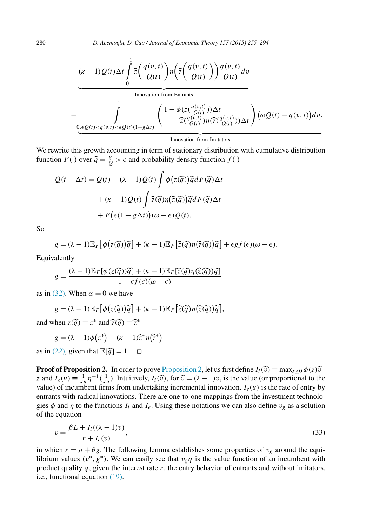<span id="page-25-0"></span>+ 
$$
(\kappa - 1) Q(t) \Delta t \int_0^1 \widehat{z} \left( \frac{q(v,t)}{Q(t)} \right) \eta \left( \widehat{z} \left( \frac{q(v,t)}{Q(t)} \right) \right) \frac{q(v,t)}{Q(t)} dv
$$
  
\n
$$
+ \int_{0,\epsilon Q(t) < q(v,t) < \epsilon Q(t)(1+g\Delta t)}^1 \left( \frac{1 - \phi(z(\frac{q(v,t)}{Q(t)}))\Delta t}{-\widehat{z}(\frac{q(v,t)}{Q(t)})\eta(\widehat{z}(\frac{q(v,t)}{Q(t)}))\Delta t} \right) (\omega Q(t) - q(v,t)) dv.
$$

Innovation from Imitators

We rewrite this growth accounting in term of stationary distribution with cumulative distribution function  $F(\cdot)$  over  $\hat{q} = \frac{q}{Q} > \epsilon$  and probability density function  $f(\cdot)$ 

$$
Q(t + \Delta t) = Q(t) + (\lambda - 1)Q(t) \int \phi(z(\tilde{q})) \tilde{q} dF(\tilde{q}) \Delta t
$$

$$
+ (\kappa - 1)Q(t) \int \tilde{z}(\tilde{q}) \eta(\tilde{z}(\tilde{q})) \tilde{q} dF(\tilde{q}) \Delta t
$$

$$
+ F(\epsilon(1 + g \Delta t))(\omega - \epsilon)Q(t).
$$

So

$$
g = (\lambda - 1) \mathbb{E}_F \big[ \phi(z(\widetilde{q}))\widetilde{q} \big] + (\kappa - 1) \mathbb{E}_F \big[ \widehat{z}(\widetilde{q})\eta(\widehat{z}(\widetilde{q}))\widetilde{q} \big] + \epsilon g f(\epsilon)(\omega - \epsilon).
$$

Equivalently

$$
g = \frac{(\lambda - 1)\mathbb{E}_{F}[\phi(z(\widetilde{q}))\widetilde{q}] + (\kappa - 1)\mathbb{E}_{F}[\widehat{z}(\widetilde{q})\eta(\widehat{z}(\widetilde{q}))\widetilde{q}]}{1 - \epsilon f(\epsilon)(\omega - \epsilon)}
$$

as in [\(32\).](#page-19-0) When  $\omega = 0$  we have

$$
g = (\lambda - 1) \mathbb{E}_F \big[ \phi(z(\widetilde{q}))\widetilde{q} \big] + (\kappa - 1) \mathbb{E}_F \big[ \widehat{z}(\widetilde{q}) \eta(\widehat{z}(\widetilde{q}))\widetilde{q} \big],
$$

and when  $z(\tilde{q}) \equiv z^*$  and  $\hat{z}(\tilde{q}) \equiv \hat{z}^*$ 

 $g = (\lambda - 1)\phi(z^*) + (\kappa - 1)\hat{z}^* \eta(\hat{z}^*)$ 

as in [\(22\),](#page-11-0) given that  $\mathbb{E}[\tilde{q}] = 1$ .  $\Box$ 

**Proof of Proposition 2.** In order to prove [Proposition 2,](#page-15-0) let us first define  $I_i(\tilde{v}) \equiv \max_{z \ge 0} \phi(z)\tilde{v}$  − *z* and  $I_e(u) \equiv \frac{1}{k} \eta^{-1}(\frac{1}{k}u)$ . Intuitively,  $I_i(\tilde{v})$ , for  $\tilde{v} = (\lambda - 1)v$ , is the value (or proportional to the value) of incumbent firms from undertaking incremental innovation.  $I_e(u)$  is the rate of entry by entrants with radical innovations. There are one-to-one mappings from the investment technologies  $\phi$  and  $\eta$  to the functions  $I_i$  and  $I_e$ . Using these notations we can also define  $v_g$  as a solution of the equation

$$
v = \frac{\beta L + I_i((\lambda - 1)v)}{r + I_e(v)},
$$
\n(33)

in which  $r = \rho + \theta g$ . The following lemma establishes some properties of  $v_g$  around the equilibrium values  $(v^*, g^*)$ . We can easily see that  $v_gq$  is the value function of an incumbent with product quality *q*, given the interest rate *r*, the entry behavior of entrants and without imitators, i.e., functional equation [\(19\).](#page-10-0)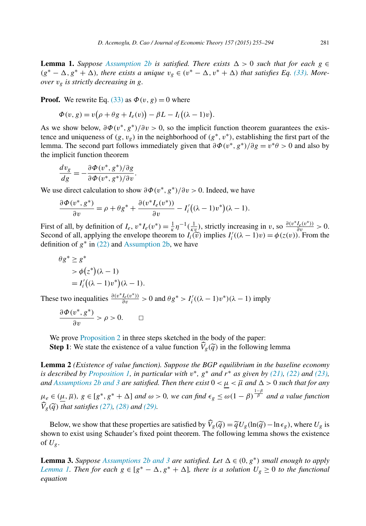<span id="page-26-0"></span>**Lemma 1.** *Suppose [Assumption 2b](#page-15-0) is satisfied. There exists*  $\Delta > 0$  *such that for each*  $g \in$  $(g^* - \Delta, g^* + \Delta)$ , there exists a unique  $v_g \in (v^* - \Delta, v^* + \Delta)$  that satisfies Eq. [\(33\).](#page-25-0) More*over vg is strictly decreasing in g.*

**Proof.** We rewrite Eq. [\(33\)](#page-25-0) as  $\Phi(v, g) = 0$  where

$$
\Phi(v, g) = v(\rho + \theta g + I_e(v)) - \beta L - I_i((\lambda - 1)v).
$$

As we show below,  $\partial \Phi(v^*, g^*)/\partial v > 0$ , so the implicit function theorem guarantees the existence and uniqueness of  $(g, v_g)$  in the neighborhood of  $(g^*, v^*)$ , establishing the first part of the lemma. The second part follows immediately given that  $\partial \Phi(v^*, g^*)/\partial g = v^* \theta > 0$  and also by the implicit function theorem

$$
\frac{dv_g}{dg} = -\frac{\partial \Phi(v^*, g^*)/\partial g}{\partial \Phi(v^*, g^*)/\partial v}.
$$

We use direct calculation to show  $\partial \Phi(v^*, g^*)/\partial v > 0$ . Indeed, we have

$$
\frac{\partial \Phi(v^*, g^*)}{\partial v} = \rho + \theta g^* + \frac{\partial (v^* I_e(v^*))}{\partial v} - I'_i((\lambda - 1)v^*)(\lambda - 1).
$$

First of all, by definition of  $I_e$ ,  $v^*I_e(v^*) = \frac{1}{\kappa} \eta^{-1}(\frac{1}{\kappa v})$ , strictly increasing in *v*, so  $\frac{\partial (v^*I_e(v^*))}{\partial v} > 0$ . Second of all, applying the envelope theorem to  $I_i(\tilde{v})$  implies  $I'_i((\lambda - 1)v) = \phi(z(v))$ . From the definition of  $g^*$  in [\(22\)](#page-11-0) and [Assumption 2b,](#page-15-0) we have

$$
\theta g^* \ge g^* \n\Rightarrow \phi(z^*)(\lambda - 1) \n= I'_i((\lambda - 1)v^*)(\lambda - 1).
$$

These two inequalities  $\frac{\partial (v^*I_e(v^*))}{\partial v} > 0$  and  $\theta g^* > I'_i((\lambda - 1)v^*)(\lambda - 1)$  imply

$$
\frac{\partial \Phi(v^*, g^*)}{\partial v} > \rho > 0. \qquad \Box
$$

We prove [Proposition 2](#page-15-0) in three steps sketched in the body of the paper:

**Step 1**: We state the existence of a value function  $V_g(\tilde{q})$  in the following lemma

**Lemma 2** *(Existence of value function). Suppose the BGP equilibrium in the baseline economy* is described by [Proposition 1,](#page-12-0) in particular with  $v^*$ ,  $g^*$  and  $r^*$  as given by [\(21\),](#page-11-0) [\(22\)](#page-11-0) and [\(23\),](#page-11-0)  $and$   $Assumptions$   $2b$   $and$   $3$   $are$   $satisfied.$  *Then there exist*  $0 < \mu < \overline{\mu}$  and  $\Delta > 0$  such that for any

 $\mu_e \in (\mu, \overline{\mu})$ ,  $g \in [g^*, g^* + \Delta]$  and  $\omega > 0$ , we can find  $\epsilon_g \leq \omega(1-\beta)^{\frac{1-\beta}{\beta}}$  and a value function *V g(q) that satisfies [\(27\),](#page-18-0) [\(28\)](#page-18-0) and [\(29\).](#page-18-0)*

Below, we show that these properties are satisfied by  $\hat{V}_g(\tilde{q}) = \tilde{q}U_g(\ln(\tilde{q}) - \ln \epsilon_g)$ , where  $U_g$  is shown to exist using Schauder's fixed point theorem. The following lemma shows the existence of  $U_g$ .

**Lemma 3.** Suppose [Assumptions](#page-15-0) 2b and 3 are satisfied. Let  $\Delta \in (0, g^*)$  small enough to apply *Lemma 1. Then for each*  $g \in [g^* - \Delta, g^* + \Delta]$ *, there is a solution*  $U_g \ge 0$  *to the functional equation*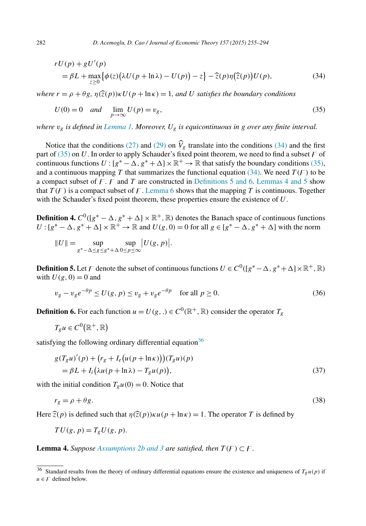$$
rU(p) + gU'(p)
$$
  
=  $\beta L + \max_{z \ge 0} {\{\phi(z) (\lambda U(p + \ln \lambda) - U(p)) - z\}} - \widehat{z}(p)\eta(\widehat{z}(p))U(p),$  (34)

*where*  $r = \rho + \theta g$ ,  $\eta(\hat{z}(p)) \kappa U(p + \ln \kappa) = 1$ , and U satisfies the boundary conditions

$$
U(0) = 0 \quad and \quad \lim_{p \to \infty} U(p) = v_g,
$$
\n
$$
(35)
$$

*where vg is defined in [Lemma 1.](#page-26-0) Moreover, Ug is equicontinuous in g over any finite interval.*

Notice that the conditions [\(27\)](#page-18-0) and [\(29\)](#page-18-0) on  $V_g$  translate into the conditions (34) and the first part of  $(35)$  on U. In order to apply Schauder's fixed point theorem, we need to find a subset  $\sqrt{F}$  of continuous functions  $U$  :  $[g^* - \Delta, g^* + \Delta] \times \mathbb{R}^+ \to \mathbb{R}$  that satisfy the boundary conditions (35), and a continuous mapping T that summarizes the functional equation  $(34)$ . We need  $T(F)$  to be a compact subset of  $F$ .  $F$  and  $T$  are constructed in Definitions 5 and 6. Lemmas 4 and 5 show that  $T(F)$  is a compact subset of F. [Lemma 6](#page-30-0) shows that the mapping T is continuous. Together with the Schauder's fixed point theorem, these properties ensure the existence of *U*.

**Definition 4.**  $C^0([g^* - \Delta, g^* + \Delta] \times \mathbb{R}^+, \mathbb{R})$  denotes the Banach space of continuous functions  $U$  :  $[g^* - \Delta, g^* + \Delta] \times \mathbb{R}^+ \to \mathbb{R}$  and  $U(g, 0) = 0$  for all  $g \in [g^* - \Delta, g^* + \Delta]$  with the norm

$$
||U|| = \sup_{g^* - \Delta \le g \le g^* + \Delta} \sup_{0 \le p \le \infty} |U(g, p)|.
$$

**Definition 5.** Let  $\digamma$  denote the subset of continuous functions  $U \in C^0([g^*-\Delta,g^*+\Delta] \times \mathbb{R}^+, \mathbb{R})$ with  $U(g, 0) = 0$  and

$$
v_g - v_g e^{-\theta p} \le U(g, p) \le v_g + v_g e^{-\theta p} \quad \text{for all } p \ge 0.
$$
 (36)

**Definition 6.** For each function  $u = U(g,.) \in C^0(\mathbb{R}^+, \mathbb{R})$  consider the operator  $T_g$ 

$$
T_g u \in C^0(\mathbb{R}^+, \mathbb{R})
$$

satisfying the following ordinary differential equation<sup>36</sup>

$$
g(T_g u)'(p) + (r_g + I_e(u(p + \ln \kappa)))(T_g u)(p)
$$
  
=  $\beta L + I_i(\lambda u(p + \ln \lambda) - T_g u(p)),$  (37)

with the initial condition  $T_gu(0) = 0$ . Notice that

$$
r_g = \rho + \theta g. \tag{38}
$$

Here  $\hat{z}(p)$  is defined such that  $\eta(\hat{z}(p))\kappa u(p + \ln \kappa) = 1$ . The operator *T* is defined by

$$
TU(g, p) = T_gU(g, p).
$$

**Lemma 4.** Suppose [Assumptions](#page-15-0) 2b and 3 are satisfied, then  $T(F) \subset F$ .

<span id="page-27-0"></span>

<sup>&</sup>lt;sup>36</sup> Standard results from the theory of ordinary differential equations ensure the existence and uniqueness of  $T_g u(p)$  if  $u \in F$  defined below.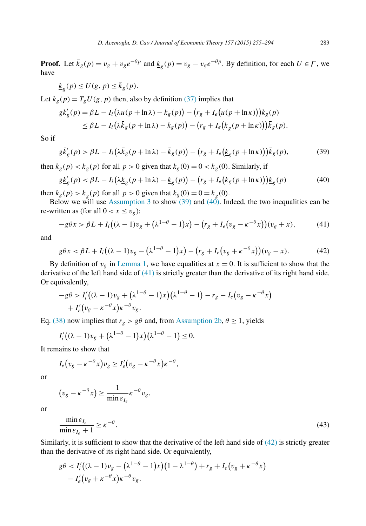<span id="page-28-0"></span>**Proof.** Let  $\bar{k}_g(p) = v_g + v_g e^{-\theta p}$  and  $\underline{k}_g(p) = v_g - v_g e^{-\theta p}$ . By definition, for each  $U \in F$ , we have

$$
\underline{k}_g(p) \le U(g, p) \le \overline{k}_g(p).
$$

Let  $k_g(p) = T_g U(g, p)$  then, also by definition [\(37\)](#page-27-0) implies that

$$
g k'_{g}(p) = \beta L - I_{i} \left( \lambda u(p + \ln \lambda) - k_{g}(p) \right) - \left( r_{g} + I_{e} \left( u(p + \ln \kappa) \right) \right) k_{g}(p)
$$
  
\n
$$
\leq \beta L - I_{i} \left( \lambda \bar{k}_{g}(p + \ln \lambda) - k_{g}(p) \right) - \left( r_{g} + I_{e} \left( \underline{k}_{g}(p + \ln \kappa) \right) \right) \bar{k}_{g}(p).
$$

So if

$$
g\bar{k}'_g(p) > \beta L - I_i\left(\lambda \bar{k}_g(p + \ln \lambda) - \bar{k}_g(p)\right) - \left(r_g + I_e\left(\underline{k}_g(p + \ln \kappa)\right)\right)\bar{k}_g(p),\tag{39}
$$

then  $k_g(p) < \bar{k}_g(p)$  for all  $p > 0$  given that  $k_g(0) = 0 < \bar{k}_g(0)$ . Similarly, if

$$
g\underline{k}'_g(p) < \beta L - I_i\left(\lambda \underline{k}_g(p + \ln \lambda) - \underline{k}_g(p)\right) - \left(r_g + I_e\left(\overline{k}_g(p + \ln \kappa)\right)\right) \underline{k}_g(p) \tag{40}
$$

then  $k_g(p) > \underline{k}_g(p)$  for all  $p > 0$  given that  $k_g(0) = 0 = \underline{k}_g(0)$ .

Below we will use [Assumption 3](#page-15-0) to show  $(39)$  and  $(40)$ . Indeed, the two inequalities can be re-written as (for all  $0 < x \le v_g$ ):

$$
-g\theta x > \beta L + I_i((\lambda - 1)v_g + (\lambda^{1-\theta} - 1)x) - (r_g + I_e(v_g - \kappa^{-\theta} x))(v_g + x),\tag{41}
$$

and

$$
g\theta x < \beta L + I_i((\lambda - 1)v_g - (\lambda^{1-\theta} - 1)x) - (r_g + I_e(v_g + \kappa^{-\theta} x))(v_g - x).
$$
 (42)

By definition of  $v_g$  in [Lemma 1,](#page-26-0) we have equalities at  $x = 0$ . It is sufficient to show that the derivative of the left hand side of (41) is strictly greater than the derivative of its right hand side. Or equivalently,

$$
-g\theta > I'_i((\lambda - 1)v_g + (\lambda^{1-\theta} - 1)x)(\lambda^{1-\theta} - 1) - r_g - I_e(v_g - \kappa^{-\theta}x) + I'_e(v_g - \kappa^{-\theta}x)e^{-\theta}v_g.
$$

Eq. [\(38\)](#page-27-0) now implies that  $r_g > g\theta$  and, from [Assumption 2b,](#page-15-0)  $\theta \ge 1$ , yields

$$
I'_i((\lambda-1)v_g+(\lambda^{1-\theta}-1)x)(\lambda^{1-\theta}-1)\leq 0.
$$

It remains to show that

$$
I_e(v_g - \kappa^{-\theta} x)v_g \geq I'_e(v_g - \kappa^{-\theta} x)\kappa^{-\theta},
$$

or

$$
(v_g - \kappa^{-\theta} x) \ge \frac{1}{\min \varepsilon_{I_e}} \kappa^{-\theta} v_g,
$$

or

$$
\frac{\min \varepsilon_{I_e}}{\min \varepsilon_{I_e} + 1} \ge \kappa^{-\theta}.
$$
\n(43)

Similarly, it is sufficient to show that the derivative of the left hand side of (42) is strictly greater than the derivative of its right hand side. Or equivalently,

$$
g\theta < I'_i((\lambda - 1)v_g - (\lambda^{1-\theta} - 1)x)(1 - \lambda^{1-\theta}) + r_g + I_e(v_g + \kappa^{-\theta}x) - I'_e(v_g + \kappa^{-\theta}x)\kappa^{-\theta}v_g.
$$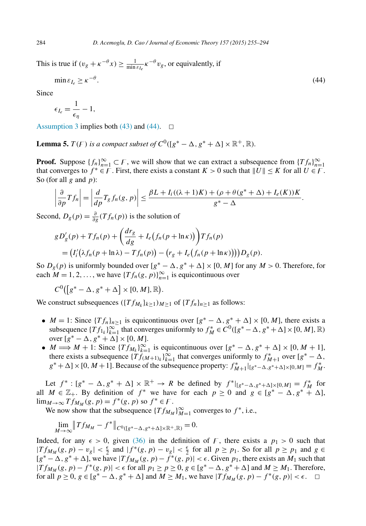This is true if  $(v_g + \kappa^{-\theta} x) \ge \frac{1}{\min_{\epsilon} \epsilon} \kappa^{-\theta} v_g$ , or equivalently, if

$$
\min \varepsilon_{I_e} \ge \kappa^{-\theta}.\tag{44}
$$

Since

$$
\epsilon_{I_e} = \frac{1}{\epsilon_{\eta}} - 1,
$$

[Assumption 3](#page-15-0) implies both [\(43\)](#page-28-0) and (44).  $\Box$ 

**Lemma 5.**  $T(F)$  is a compact subset of  $C^0([g^* - \Delta, g^* + \Delta] \times \mathbb{R}^+, \mathbb{R})$ *.* 

**Proof.** Suppose  ${f_n}_{n=1}^{\infty} \subset F$ , we will show that we can extract a subsequence from  ${Tf_n}_{n=1}^{\infty}$ that converges to  $f^* \in F$ . First, there exists a constant  $K > 0$  such that  $||U|| \leq K$  for all  $U \in F$ . So (for all *g* and *p*):

$$
\left|\frac{\partial}{\partial p}Tf_n\right|=\left|\frac{d}{dp}T_gf_n(g,p)\right|\leq \frac{\beta L+I_i((\lambda+1)K)+(\rho+\theta(g^*+\Delta)+I_e(K))K}{g^*-\Delta}.
$$

Second,  $D_g(p) = \frac{\partial}{\partial g}(Tf_n(p))$  is the solution of

$$
gD'_{g}(p) + Tf_n(p) + \left(\frac{dr_g}{dg} + I_e(f_n(p + \ln \kappa))\right)Tf_n(p)
$$
  
=  $(I'_i(\lambda f_n(p + \ln \lambda) - Tf_n(p)) - (r_g + I_e(f_n(p + \ln \kappa))))D_g(p).$ 

So  $D_g(p)$  is uniformly bounded over  $[g^* - \Delta, g^* + \Delta] \times [0, M]$  for any  $M > 0$ . Therefore, for each  $M = 1, 2, \ldots$ , we have  $\{Tf_n(g, p)\}_{n=1}^{\infty}$  is equicontinuous over

$$
C^0([g^*-\Delta,g^*+\Delta]\times[0,M],\mathbb{R}).
$$

We construct subsequences  $({Tf_{M_k}}_{k>1})_{M>1}$  of  ${Tf_n}_{n>1}$  as follows:

- *M* = 1: Since  $\{Tf_n\}_{n\geq 1}$  is equicontinuous over  $[g^* \Delta, g^* + \Delta] \times [0, M]$ , there exists a subsequence  $\{Tf_{1k}\}_{k=1}^{\infty}$  that converges uniformly to  $f_M^* \in C^0([g^*-\Delta, g^*+\Delta] \times [0, M], \mathbb{R})$ over  $[g^* - \Delta, g^* + \Delta] \times [0, M].$
- $M \Longrightarrow M + 1$ : Since  $\{Tf_{M_k}\}_{k=1}^{\infty}$  is equicontinuous over  $[g^* \Delta, g^* + \Delta] \times [0, M + 1]$ , there exists a subsequence  $\{T\}_{(M+1)k}^{\infty}\}_{k=1}^{\infty}$  that converges uniformly to  $f_{M+1}^*$  over  $[g^* - \Delta, g]$  $g^* + \Delta$  × [0*, M* + 1]. Because of the subsequence property:  $f_{M+1}^*|_{[g^*-\Delta,g^*+\Delta]\times[0,M]} = f_M^*$ .

Let  $f^* : [g^* - \Delta, g^* + \Delta] \times \mathbb{R}^+ \to R$  be defined by  $f^*|_{[g^* - \Delta, g^* + \Delta] \times [0, M]} = f^*_{M}$  for all  $M \in \mathbb{Z}_+$ . By definition of  $f^*$  we have for each  $p \ge 0$  and  $g \in [g^* - \Delta, g^* + \Delta]$ ,  $\lim_{M \to \infty} Tf_{M_M}(g, p) = f^*(g, p)$  so  $f^* \in F$ .

We now show that the subsequence  $\{Tf_{M_M}\}_{M=1}^{\infty}$  converges to  $f^*$ , i.e.,

$$
\lim_{M \to \infty} \|Tf_{M_M} - f^*\|_{C^0([g^* - \Delta, g^* + \Delta] \times \mathbb{R}^+, \mathbb{R})} = 0.
$$

Indeed, for any  $\epsilon > 0$ , given [\(36\)](#page-27-0) in the definition of F, there exists a  $p_1 > 0$  such that  $|Tf_{M_M}(g, p) - v_g| < \frac{\epsilon}{2}$  and  $|f^*(g, p) - v_g| < \frac{\epsilon}{2}$  for all *p* ≥ *p*<sub>1</sub>. So for all *p* ≥ *p*<sub>1</sub> and *g* ∈  $[g^* - \Delta, g^* + \Delta]$ , we have  $|Tf_{M_M}(g, p) - f^*(g, p)| < \epsilon$ . Given  $p_1$ , there exists an  $M_1$  such that  $|Tf_{M_M}(g, p) - f^*(g, p)| < \epsilon$  for all  $p_1 \ge p \ge 0, g \in [g^* - \Delta, g^* + \Delta]$  and  $M \ge M_1$ . Therefore, for all  $p \ge 0$ ,  $g \in [g^* - \Delta, g^* + \Delta]$  and  $M \ge M_1$ , we have  $|Tf_{M_M}(g, p) - f^*(g, p)| < \epsilon$ .  $\Box$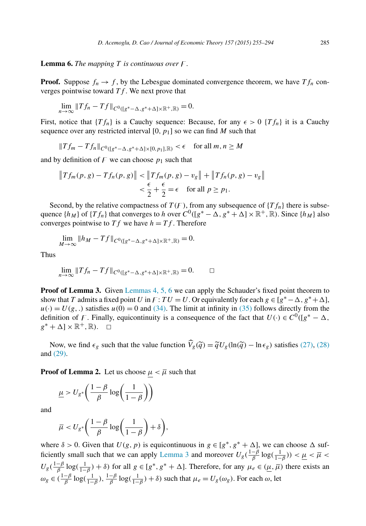<span id="page-30-0"></span>**Lemma 6.** *The mapping*  $T$  *is continuous over*  $F$ .

**Proof.** Suppose  $f_n \to f$ , by the Lebesgue dominated convergence theorem, we have  $Tf_n$  converges pointwise toward *Tf* . We next prove that

$$
\lim_{n \to \infty} ||Tf_n - Tf||_{C^0([g^*-\Delta,g^*+\Delta] \times \mathbb{R}^+, \mathbb{R})} = 0.
$$

First, notice that  $\{Tf_n\}$  is a Cauchy sequence: Because, for any  $\epsilon > 0$   $\{Tf_n\}$  it is a Cauchy sequence over any restricted interval  $[0, p_1]$  so we can find *M* such that

 $||Tf_m - Tf_n||_{C^0([g^* - \Delta, g^* + \Delta] \times [0, p_1], \mathbb{R})}$  <  $\epsilon$  for all *m, n* ≥ *M* 

and by definition of  $F$  we can choose  $p_1$  such that

$$
\begin{aligned} \left\|Tf_m(p,g)-Tf_n(p,g)\right\| &< \left\|Tf_m(p,g)-v_g\right\| + \left\|Tf_n(p,g)-v_g\right\| \\ &< \frac{\epsilon}{2} + \frac{\epsilon}{2} = \epsilon \quad \text{for all } p \ge p_1. \end{aligned}
$$

Second, by the relative compactness of  $T(F)$ , from any subsequence of  $\{Tf_n\}$  there is subsequence  $\{h_M\}$  of  $\{Tf_n\}$  that converges to *h* over  $C^0([g^*-\Delta,g^*+\Delta] \times \mathbb{R}^+, \mathbb{R})$ . Since  $\{h_M\}$  also converges pointwise to  $Tf$  we have  $h = Tf$ . Therefore

$$
\lim_{M \to \infty} \|h_M - Tf\|_{C^0([g^* - \Delta, g^* + \Delta] \times \mathbb{R}^+, \mathbb{R})} = 0.
$$

Thus

$$
\lim_{n\to\infty}||Tf_n-Tf||_{C^0([g^*-\Delta,g^*+\Delta]\times\mathbb{R}^+,\mathbb{R})}=0.\qquad\Box
$$

**Proof of Lemma 3.** Given [Lemmas 4,](#page-27-0) 5, 6 we can apply the Schauder's fixed point theorem to show that *T* admits a fixed point *U* in  $F: TU = U$ . Or equivalently for each  $g \in [g^* - \Delta, g^* + \Delta]$ ,  $u(\cdot) = U(g, \cdot)$  satisfies  $u(0) = 0$  and [\(34\).](#page-27-0) The limit at infinity in [\(35\)](#page-27-0) follows directly from the definition of F. Finally, equicontinuity is a consequence of the fact that  $U(\cdot) \in C^0([g^* - \Delta,$  $g^* + \Delta \rbrack \times \mathbb{R}^+, \mathbb{R}$ ).  $\Box$ 

Now, we find  $\epsilon_g$  such that the value function  $\hat{V}_g(\tilde{q}) = \tilde{q} U_g(\ln(\tilde{q}) - \ln \epsilon_g)$  satisfies [\(27\),](#page-18-0) [\(28\)](#page-18-0) and [\(29\).](#page-18-0)

**Proof** of **Lemma 2.** Let us choose  $\mu < \overline{\mu}$  such that

$$
\underline{\mu} > U_{g^*} \bigg( \frac{1-\beta}{\beta} \log \bigg( \frac{1}{1-\beta} \bigg) \bigg)
$$

and

$$
\overline{\mu} < U_{g^*} \bigg( \frac{1-\beta}{\beta} \log \bigg( \frac{1}{1-\beta} \bigg) + \delta \bigg),\,
$$

where  $\delta > 0$ . Given that  $U(g, p)$  is equicontinuous in  $g \in [g^*, g^* + \Delta]$ , we can choose  $\Delta$  suf-ficiently small such that we can apply [Lemma 3](#page-26-0) and moreover  $U_g(\frac{1-\beta}{\beta}\log(\frac{1}{1-\beta})) < \mu < \overline{\mu} < \overline{\mu}$  $U_g(\frac{1-\beta}{\beta}\log(\frac{1}{1-\beta})+\delta)$  for all  $g \in [g^*, g^*+\Delta]$ . Therefore, for any  $\mu_e \in (\mu, \overline{\mu})$  there exists an  $\omega_g \in (\frac{1-\beta}{\beta} \log(\frac{1}{1-\beta}), \frac{1-\beta}{\beta} \log(\frac{1}{1-\beta}) + \delta)$  such that  $\mu_e = U_g(\omega_g)$ . For each  $\omega$ , let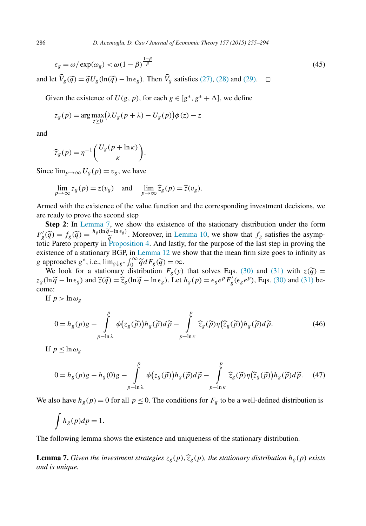$$
\epsilon_g = \omega / \exp(\omega_g) < \omega \left(1 - \beta\right)^{\frac{1 - \beta}{\beta}} \tag{45}
$$

and let  $\hat{V}_g(\tilde{q}) = \tilde{q}U_g(\ln(\tilde{q}) - \ln \epsilon_g)$ . Then  $\hat{V}_g$  satisfies [\(27\),](#page-18-0) [\(28\)](#page-18-0) and [\(29\).](#page-18-0)  $\Box$ 

Given the existence of  $U(g, p)$ , for each  $g \in [g^*, g^* + \Delta]$ , we define

$$
z_g(p) = \arg\max_{z \ge 0} (\lambda U_g(p + \lambda) - U_g(p))\phi(z) - z
$$

and

$$
\widehat{z}_g(p) = \eta^{-1} \bigg( \frac{U_g(p + \ln \kappa)}{\kappa} \bigg).
$$

Since  $\lim_{p\to\infty} U_g(p) = v_g$ , we have

$$
\lim_{p \to \infty} z_g(p) = z(v_g) \quad \text{and} \quad \lim_{p \to \infty} \widehat{z}_g(p) = \widehat{z}(v_g).
$$

Armed with the existence of the value function and the corresponding investment decisions, we are ready to prove the second step

**Step 2**: In Lemma 7, we show the existence of the stationary distribution under the form  $F'_{g}(\tilde{q}) = f_{g}(\tilde{q}) = \frac{h_{g}(\ln \tilde{q} - \ln \epsilon_{g})}{\tilde{q}}$ . Moreover, in [Lemma 10,](#page-33-0) we show that  $f_{g}$  satisfies the asymptotic Pareto property in Proposition 4. And lastly for the purpose of the last step in proving the totic Pareto property in [Proposition 4.](#page-16-0) And lastly, for the purpose of the last step in proving the existence of a stationary BGP, in [Lemma 12](#page-36-0) we show that the mean firm size goes to infinity as *g* approaches *g*<sup>∗</sup>, i.e.,  $\lim_{g \downarrow g^*} \int_0^\infty \tilde{q} dF_g(\tilde{q}) = \infty$ .

We look for a stationary distribution  $F_g(y)$  that solves Eqs. [\(30\)](#page-18-0) and [\(31\)](#page-18-0) with  $z(\tilde{q}) =$  $z_g(\ln \widetilde{q} - \ln \epsilon_g)$  and  $\widehat{z}(\widetilde{q}) = \widehat{z}_g(\ln \widetilde{q} - \ln \epsilon_g)$ . Let  $h_g(p) = \epsilon_g e^p F'_g(\epsilon_g e^p)$ , Eqs. [\(30\)](#page-18-0) and [\(31\)](#page-18-0) become:

If  $p > \ln \omega_{g}$ 

$$
0 = h_g(p)g - \int_{p-\ln\lambda}^p \phi(z_g(\widetilde{p}))h_g(\widetilde{p})d\widetilde{p} - \int_{p-\ln\kappa}^p \widehat{z}_g(\widetilde{p})\eta(\widehat{z}_g(\widetilde{p}))h_g(\widetilde{p})d\widetilde{p}.
$$
 (46)

If  $p < \ln \omega$ <sub>*o*</sub>

$$
0 = h_g(p)g - h_g(0)g - \int_{p-\ln\lambda}^p \phi(z_g(\tilde{p}))h_g(\tilde{p})d\tilde{p} - \int_{p-\ln\kappa}^p \hat{z}_g(\tilde{p})\eta(\hat{z}_g(\tilde{p}))h_g(\tilde{p})d\tilde{p}.
$$
 (47)

We also have  $h_g(p) = 0$  for all  $p \le 0$ . The conditions for  $F_g$  to be a well-defined distribution is

$$
\int h_g(p)dp = 1.
$$

The following lemma shows the existence and uniqueness of the stationary distribution.

**Lemma 7.** Given the investment strategies  $z_g(p), \hat{z}_g(p)$ , the stationary distribution  $h_g(p)$  exists *and is unique.*

<span id="page-31-0"></span>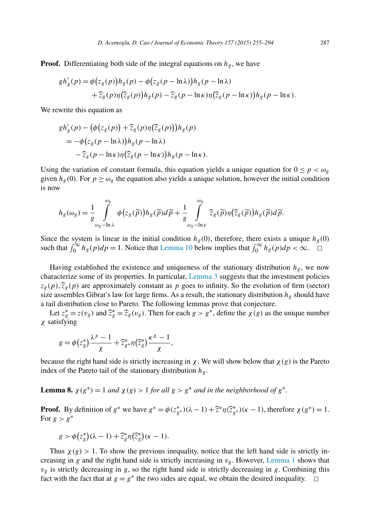<span id="page-32-0"></span>**Proof.** Differentiating both side of the integral equations on  $h_g$ , we have

$$
gh'_{g}(p) = \phi(z_{g}(p))h_{g}(p) - \phi(z_{g}(p - \ln \lambda))h_{g}(p - \ln \lambda)
$$
  
+  $\hat{z}_{g}(p)\eta(\hat{z}_{g}(p))h_{g}(p) - \hat{z}_{g}(p - \ln \kappa)\eta(\hat{z}_{g}(p - \ln \kappa))h_{g}(p - \ln \kappa).$ 

We rewrite this equation as

$$
gh'_g(p) - (\phi(z_g(p)) + \widehat{z}_g(p)\eta(\widehat{z}_g(p)))h_g(p)
$$
  
=  $-\phi(z_g(p - \ln \lambda))h_g(p - \ln \lambda)$   
 $-\widehat{z}_g(p - \ln \kappa)\eta(\widehat{z}_g(p - \ln \kappa))h_g(p - \ln \kappa).$ 

Using the variation of constant formula, this equation yields a unique equation for  $0 \le p < \omega_g$ given  $h_g(0)$ . For  $p \ge \omega_g$  the equation also yields a unique solution, however the initial condition is now

$$
h_g(\omega_g) = \frac{1}{g} \int_{\omega_g - \ln \lambda}^{\omega_g} \phi(z_g(\widetilde{p})) h_g(\widetilde{p}) d\widetilde{p} + \frac{1}{g} \int_{\omega_g - \ln \kappa}^{\omega_g} \widehat{z}_g(\widetilde{p}) \eta(\widehat{z}_g(\widetilde{p})) h_g(\widetilde{p}) d\widetilde{p}.
$$

Since the system is linear in the initial condition  $h_g(0)$ , therefore, there exists a unique  $h_g(0)$ such that  $\int_0^\infty h_g(p) dp = 1$ . Notice that [Lemma 10](#page-33-0) below implies that  $\int_0^\infty h_g(p) dp < \infty$ .

Having established the existence and uniqueness of the stationary distribution  $h_g$ , we now characterize some of its properties. In particular, [Lemma 3](#page-26-0) suggests that the investment policies  $z_g(p)$ ,  $\hat{z}_g(p)$  are approximately constant as p goes to infinity. So the evolution of firm (sector) size assembles Gibrat's law for large firms. As a result, the stationary distribution  $h_{\rho}$  should have a tail distribution close to Pareto. The following lemmas prove that conjecture.

Let  $z_g^* = z(v_g)$  and  $\hat{z}_g^* = \hat{z}_g(v_g)$ . Then for each  $g > g^*$ , define the  $\chi(g)$  as the unique number *χ* satisfying

$$
g = \phi(z_g^*) \frac{\lambda^{\chi} - 1}{\chi} + \widehat{z}_{g^*}^* \eta(\widehat{z}_g^*) \frac{\kappa^{\chi} - 1}{\chi},
$$

because the right hand side is strictly increasing in  $\chi$ . We will show below that  $\chi(g)$  is the Pareto index of the Pareto tail of the stationary distribution *hg*.

**Lemma 8.**  $\chi(g^*) = 1$  *and*  $\chi(g) > 1$  *for all*  $g > g^*$  *and in the neighborhood of*  $g^*$ .

**Proof.** By definition of  $g^*$  we have  $g^* = \phi(z_{g^*}^*)(\lambda - 1) + \hat{z}^*\eta(\hat{z}_{g^*}^*)(\kappa - 1)$ , therefore  $\chi(g^*) = 1$ . For  $g > g^*$ 

$$
g > \phi(z_g^*)(\lambda - 1) + \widehat{z}_g^*\eta(\widehat{z}_g^*)(\kappa - 1).
$$

Thus  $\chi(g) > 1$ . To show the previous inequality, notice that the left hand side is strictly increasing in *g* and the right hand side is strictly increasing in *vg*. However, [Lemma 1](#page-26-0) shows that  $v_g$  is strictly decreasing in *g*, so the right hand side is strictly decreasing in *g*. Combining this fact with the fact that at  $g = g^*$  the two sides are equal, we obtain the desired inequality.  $\Box$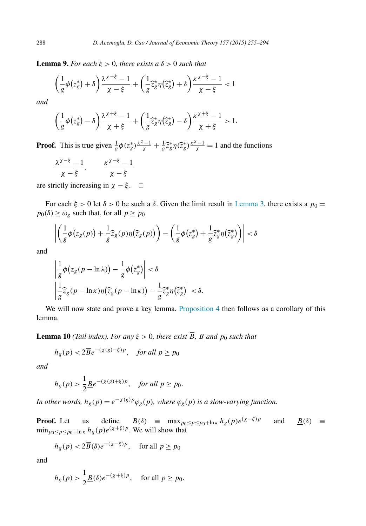<span id="page-33-0"></span>**Lemma 9.** For each  $\xi > 0$ , there exists  $a \delta > 0$  such that

$$
\left(\frac{1}{g}\phi\left(z_g^*\right)+\delta\right)\frac{\lambda^{\chi-\xi}-1}{\chi-\xi}+\left(\frac{1}{g}\hat{z}_g^*\eta\left(\hat{z}_g^*\right)+\delta\right)\frac{\kappa^{\chi-\xi}-1}{\chi-\xi}<1
$$

*and*

$$
\left(\frac{1}{g}\phi\left(z_g^*\right)-\delta\right)\frac{\lambda^{\chi+\xi}-1}{\chi+\xi}+\left(\frac{1}{g}\hat{z}_g^*\eta\left(\hat{z}_g^*\right)-\delta\right)\frac{\kappa^{\chi+\xi}-1}{\chi+\xi}>1.
$$

**Proof.** This is true given  $\frac{1}{g}\phi(z_g^*)\frac{\lambda^{\chi}-1}{\chi} + \frac{1}{g}\overline{z}_g^*\eta(\overline{z}_g^*)\frac{\kappa^{\chi}-1}{\chi} = 1$  and the functions

$$
\frac{\lambda^{\chi-\xi}-1}{\chi-\xi}, \qquad \frac{\kappa^{\chi-\xi}-1}{\chi-\xi}
$$

are strictly increasing in  $\chi - \xi$ .  $\Box$ 

For each  $ξ > 0$  let  $δ > 0$  be such a  $δ$ . Given the limit result in [Lemma 3,](#page-26-0) there exists a  $p_0 =$  $p_0(\delta) \geq \omega_g$  such that, for all  $p \geq p_0$ 

$$
\left|\left(\frac{1}{g}\phi\big(z_g(p)\big)+\frac{1}{g}\widehat{z}_g(p)\eta\big(\widehat{z}_g(p)\big)\right)-\left(\frac{1}{g}\phi\big(z_g^*\big)+\frac{1}{g}\widehat{z}_g^*\eta\big(\widehat{z}_g^*\big)\right)\right|<\delta
$$

and

$$
\left|\frac{1}{g}\phi\big(z_g(p-\ln\lambda)\big)-\frac{1}{g}\phi\big(z_g^*\big)\right|<\delta
$$
\n
$$
\left|\frac{1}{g}\hat{z}_g(p-\ln\kappa)\eta\big(\hat{z}_g(p-\ln\kappa)\big)-\frac{1}{g}\hat{z}_g^*\eta\big(\hat{z}_g^*\big)\right|<\delta.
$$

We will now state and prove a key lemma. [Proposition 4](#page-16-0) then follows as a corollary of this lemma.

**Lemma 10** *(Tail index). For any*  $\xi > 0$ *, there exist*  $\overline{B}$ *, B and p<sub>0</sub> such that* 

$$
h_g(p) < 2\overline{B}e^{-(\chi(g)-\xi)p}, \quad \text{for all } p \ge p_0
$$

*and*

$$
h_g(p) > \frac{1}{2} \underline{B} e^{-(\chi(g) + \xi)p}, \quad \text{for all } p \ge p_0.
$$

*In other words,*  $h_g(p) = e^{-\chi(g)p} \varphi_g(p)$ *, where*  $\varphi_g(p)$  *is a slow-varying function.* 

**Proof.** Let us define  $\overline{B}(\delta) \equiv \max_{p_0 \le p \le p_0 + \ln \kappa} h_g(p) e^{(\chi - \xi)p}$  and  $\underline{B}(\delta) \equiv$  $\min_{p_0 \leq p \leq p_0 + \ln \kappa} h_g(p) e^{(\chi + \xi)p}$ . We will show that

$$
h_g(p) < 2\overline{B}(\delta)e^{-(\chi-\xi)p}
$$
, for all  $p \ge p_0$ 

and

$$
h_g(p) > \frac{1}{2} \underline{B}(\delta) e^{-(\chi + \xi)p}
$$
, for all  $p \ge p_0$ .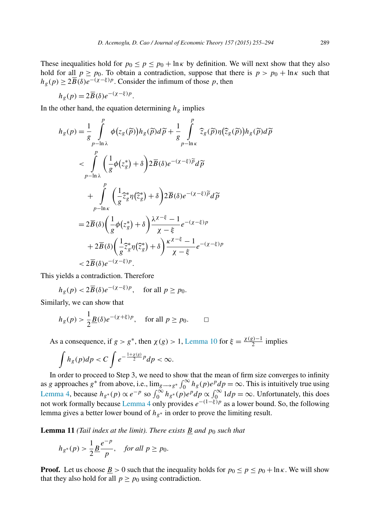<span id="page-34-0"></span>These inequalities hold for  $p_0 \le p \le p_0 + \ln \kappa$  by definition. We will next show that they also hold for all  $p \ge p_0$ . To obtain a contradiction, suppose that there is  $p > p_0 + \ln \kappa$  such that  $h_g(p) \geq 2\overline{B}(\delta)e^{-\overline{(\chi-\xi)}p}$ . Consider the infimum of those *p*, then

$$
h_g(p) = 2\overline{B}(\delta)e^{-(\chi-\xi)p}.
$$

In the other hand, the equation determining  $h<sub>g</sub>$  implies

$$
h_{g}(p) = \frac{1}{g} \int_{p-\ln\lambda}^{p} \phi(z_{g}(\tilde{p})) h_{g}(\tilde{p}) d\tilde{p} + \frac{1}{g} \int_{p-\ln\kappa}^{p} \widehat{z}_{g}(\tilde{p}) \eta(\widehat{z}_{g}(\tilde{p})) h_{g}(\tilde{p}) d\tilde{p}
$$
  

$$
< \int_{p-\ln\lambda}^{p} \left(\frac{1}{g} \phi(z_{g}^{*}) + \delta\right) 2 \overline{B}(\delta) e^{-(\chi-\xi)\tilde{p}} d\tilde{p}
$$
  

$$
+ \int_{p-\ln\kappa}^{p} \left(\frac{1}{g} \widehat{z}_{g}^{*} \eta(\tilde{z}_{g}^{*}) + \delta\right) 2 \overline{B}(\delta) e^{-(\chi-\xi)\tilde{p}} d\tilde{p}
$$
  

$$
= 2 \overline{B}(\delta) \left(\frac{1}{g} \phi(z_{g}^{*}) + \delta\right) \frac{\lambda^{\chi-\xi}-1}{\chi-\xi} e^{-(\chi-\xi)p}
$$
  

$$
+ 2 \overline{B}(\delta) \left(\frac{1}{g} \widehat{z}_{g}^{*} \eta(\tilde{z}_{g}^{*}) + \delta\right) \frac{\kappa^{\chi-\xi}-1}{\chi-\xi} e^{-(\chi-\xi)p}
$$
  

$$
< 2 \overline{B}(\delta) e^{-(\chi-\xi)p}.
$$

This yields a contradiction. Therefore

$$
h_g(p) < 2\overline{B}(\delta)e^{-(\chi-\xi)p}
$$
, for all  $p \ge p_0$ .

Similarly, we can show that

$$
h_g(p) > \frac{1}{2} \underline{B}(\delta) e^{-(\chi + \xi)p}
$$
, for all  $p \ge p_0$ .  $\square$ 

As a consequence, if  $g > g^*$ , then  $\chi(g) > 1$ , [Lemma 10](#page-33-0) for  $\xi = \frac{\chi(g)-1}{2}$  implies

$$
\int h_g(p)dp < C \int e^{-\frac{1+\chi(g)}{2}p} dp < \infty.
$$

In order to proceed to Step 3, we need to show that the mean of firm size converges to infinity as *g* approaches  $g^*$  from above, i.e.,  $\lim_{g\to g^*} \int_0^\infty h_g(p) e^p dp = \infty$ . This is intuitively true using [Lemma 4,](#page-27-0) because  $h_{g^*}(p) \propto e^{-p}$  so  $\int_0^\infty h_{g^*}(p) e^p dp \propto \int_0^\infty 1 dp = \infty$ . Unfortunately, this does not work formally because [Lemma 4](#page-27-0) only provides *e*−*(*1−*ξ)p* as a lower bound. So, the following lemma gives a better lower bound of  $h_{g*}$  in order to prove the limiting result.

**Lemma** 11 *(Tail index at the limit). There exists B and*  $p_0$  *such that* 

$$
h_{g^*}(p) > \frac{1}{2} \underline{B} \frac{e^{-p}}{p}, \quad \text{for all } p \ge p_0.
$$

**Proof.** Let us choose <u>*B*</u> > 0 such that the inequality holds for  $p_0 \leq p \leq p_0 + \ln \kappa$ . We will show that they also hold for all  $p \ge p_0$  using contradiction.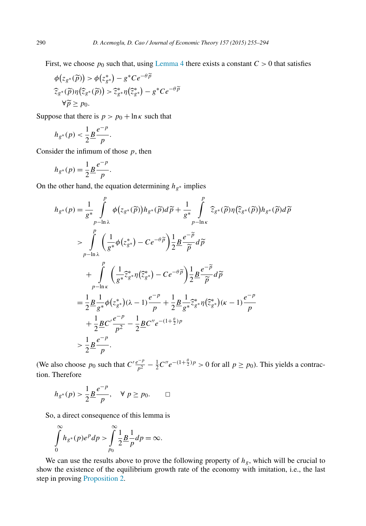First, we choose  $p_0$  such that, using [Lemma 4](#page-27-0) there exists a constant  $C > 0$  that satisfies

$$
\begin{aligned} \phi(z_{g^*}(\widetilde{p})) &> \phi(z_{g^*}^*) - g^*Ce^{-\theta \widetilde{p}} \\ \widehat{z}_{g^*}(\widetilde{p})\eta(\widehat{z}_{g^*}(\widetilde{p})) &> \widehat{z}_{g^*}^*\eta(\widehat{z}_{g^*}^*) - g^*Ce^{-\theta \widetilde{p}} \\ \forall \widetilde{p} &\geq p_0. \end{aligned}
$$

Suppose that there is  $p > p_0 + \ln \kappa$  such that

$$
h_{g^*}(p) < \frac{1}{2} \frac{g^{p-p}}{p}.
$$

Consider the infimum of those *p*, then

$$
h_{g^*}(p) = \frac{1}{2} \frac{e^{-p}}{p}.
$$

On the other hand, the equation determining *hg*<sup>∗</sup> implies

$$
h_{g^*}(p) = \frac{1}{g^*} \int_{p-\ln\lambda}^p \phi(z_{g^*}(\widetilde{p})) h_{g^*}(\widetilde{p}) d\widetilde{p} + \frac{1}{g^*} \int_{p-\ln\kappa}^p \widehat{z}_{g^*}(\widetilde{p}) \eta(\widehat{z}_{g^*}(\widetilde{p})) h_{g^*}(\widetilde{p}) d\widetilde{p}
$$
  
\n
$$
> \int_{p-\ln\lambda}^p \left(\frac{1}{g^*} \phi(z_{g^*}^*) - Ce^{-\theta \widetilde{p}}\right) \frac{1}{2} \underline{B} \frac{e^{-\widetilde{p}}}{\widetilde{p}} d\widetilde{p}
$$
  
\n
$$
+ \int_{p-\ln\kappa}^p \left(\frac{1}{g^*} \widehat{z}_{g^*}^* \eta(\widetilde{z}_{g^*}^*) - Ce^{-\theta \widetilde{p}}\right) \frac{1}{2} \underline{B} \frac{e^{-\widetilde{p}}}{\widetilde{p}} d\widetilde{p}
$$
  
\n
$$
= \frac{1}{2} \underline{B} \frac{1}{g^*} \phi(z_{g^*}^*) (\lambda - 1) \frac{e^{-p}}{p} + \frac{1}{2} \underline{B} \frac{1}{g^*} \widehat{z}_{g^*}^* \eta(\widetilde{z}_{g^*}^*) (\kappa - 1) \frac{e^{-p}}{p}
$$
  
\n
$$
+ \frac{1}{2} \underline{B} C' \frac{e^{-p}}{p^2} - \frac{1}{2} \underline{B} C'' e^{-(1+\frac{\theta}{2})p}
$$
  
\n
$$
> \frac{1}{2} \underline{B} \frac{e^{-p}}{p}.
$$

(We also choose  $p_0$  such that  $C' \frac{e^{-p}}{p^2} - \frac{1}{2}C''e^{-(1+\frac{\theta}{2})p} > 0$  for all  $p \ge p_0$ ). This yields a contraction. Therefore

$$
h_{g^*}(p) > \frac{1}{2} \underline{B} \frac{e^{-p}}{p}, \quad \forall \ p \ge p_0. \qquad \Box
$$

So, a direct consequence of this lemma is

$$
\int_{0}^{\infty} h_{g^*}(p)e^p dp > \int_{p_0}^{\infty} \frac{1}{2} \frac{1}{p} \frac{1}{p} dp = \infty.
$$

We can use the results above to prove the following property of  $h_g$ , which will be crucial to show the existence of the equilibrium growth rate of the economy with imitation, i.e., the last step in proving [Proposition 2.](#page-15-0)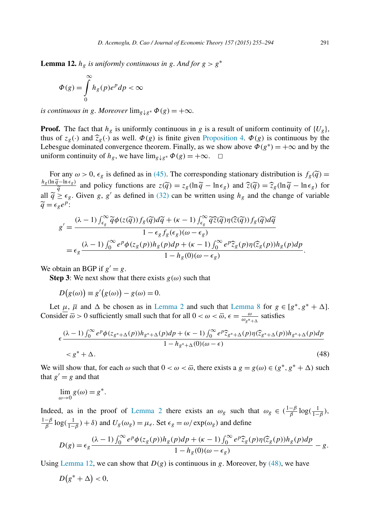<span id="page-36-0"></span>**Lemma 12.**  $h_g$  is uniformly continuous in g. And for  $g > g^*$ 

$$
\Phi(g) = \int_{0}^{\infty} h_g(p)e^p dp < \infty
$$

*is continuous in g. Moreover*  $\lim_{g \downarrow g^*} \Phi(g) = +\infty$ *.* 

**Proof.** The fact that  $h_g$  is uniformly continuous in *g* is a result of uniform continuity of  $\{U_g\}$ , thus of  $z_g(\cdot)$  and  $\hat{z}_g(\cdot)$  as well.  $\Phi(g)$  is finite given [Proposition 4.](#page-16-0)  $\Phi(g)$  is continuous by the Lebesgue dominated convergence theorem. Finally, as we show above  $\Phi(g^*) = +\infty$  and by the uniform continuity of  $h_g$ , we have  $\lim_{g \downarrow g^*} \Phi(g) = +\infty$ .  $\Box$ 

For any  $\omega > 0$ ,  $\epsilon_g$  is defined as in [\(45\).](#page-31-0) The corresponding stationary distribution is  $f_g(\tilde{q}) =$ <br>*h<sub>g</sub>*(ln $\tilde{q}$ −ln $\epsilon_g$ ) and policy functions are  $z(\tilde{q}) = z_g(\ln \tilde{q} - \ln \epsilon_g)$  and  $\tilde{z}(\tilde{q}) = \tilde{z}_g(\ln \tilde{q} - \ln \epsilon$  $q = \frac{q}{q}$  and policy functions are  $z(\tilde{q}) = z_g(\ln \tilde{q} - \ln \epsilon_g)$  and  $\tilde{z}(\tilde{q}) = \tilde{z}_g(\ln \tilde{q} - \ln \epsilon_g)$  for all  $\tilde{q} \ge \epsilon_g$ . Given *g*, *g'* as defined in [\(32\)](#page-19-0) can be written using  $h_g$  and the change of variable  $\widetilde{q} = \epsilon_{\rho} e^{p}$ :

$$
g' = \frac{(\lambda - 1) \int_{\epsilon_g}^{\infty} \widetilde{q} \phi(z(\widetilde{q})) f_g(\widetilde{q}) d\widetilde{q} + (\kappa - 1) \int_{\epsilon_g}^{\infty} \widetilde{q} \widetilde{z}(\widetilde{q}) \eta(\widehat{z}(\widetilde{q})) f_g(\widetilde{q}) d\widetilde{q}}{1 - \epsilon_g f_g(\epsilon_g)(\omega - \epsilon_g)}
$$
  
= 
$$
\epsilon_g \frac{(\lambda - 1) \int_0^{\infty} e^p \phi(z_g(p)) h_g(p) dp + (\kappa - 1) \int_0^{\infty} e^p \widehat{z}_g(p) \eta(\widehat{z}_g(p)) h_g(p) dp}{1 - h_g(0)(\omega - \epsilon_g)}.
$$

We obtain an BGP if  $g' = g$ .

**Step 3**: We next show that there exists  $g(\omega)$  such that

$$
D(g(\omega)) \equiv g'(g(\omega)) - g(\omega) = 0.
$$

Let  $\mu$ ,  $\overline{\mu}$  and  $\Delta$  be chosen as in [Lemma 2](#page-26-0) and such that [Lemma 8](#page-32-0) for  $g \in [g^*, g^* + \Delta]$ . Consider  $\overline{\omega} > 0$  sufficiently small such that for all  $0 < \omega < \overline{\omega}$ ,  $\epsilon = \frac{\omega}{\omega_{g^* + \Delta}}$  satisfies

$$
\epsilon \frac{(\lambda - 1) \int_0^\infty e^p \phi(z_{g^* + \Delta}(p)) h_{g^* + \Delta}(p) dp + (\kappa - 1) \int_0^\infty e^p \widehat{z}_{g^* + \Delta}(p) \eta(\widehat{z}_{g^* + \Delta}(p)) h_{g^* + \Delta}(p) dp}{1 - h_{g^* + \Delta}(0)(\omega - \epsilon)} \tag{48}
$$

We will show that, for each  $\omega$  such that  $0 < \omega < \overline{\omega}$ , there exists a  $g = g(\omega) \in (g^*, g^* + \Delta)$  such that  $g' = g$  and that

$$
\lim_{\omega \to 0} g(\omega) = g^*.
$$

Indeed, as in the proof of [Lemma 2](#page-26-0) there exists an  $\omega_g$  such that  $\omega_g \in (\frac{1-\beta}{\beta} \log(\frac{1}{1-\beta}),$  $\frac{1-\beta}{\beta} \log(\frac{1}{1-\beta}) + \delta$  and  $U_g(\omega_g) = \mu_e$ . Set  $\epsilon_g = \omega/\exp(\omega_g)$  and define

$$
D(g) = \epsilon_g \frac{(\lambda - 1) \int_0^\infty e^p \phi(z_g(p)) h_g(p) dp + (\kappa - 1) \int_0^\infty e^p \widehat{z}_g(p) \eta(\widehat{z}_g(p)) h_g(p) dp}{1 - h_g(0)(\omega - \epsilon_g)} - g.
$$

Using Lemma 12, we can show that  $D(g)$  is continuous in g. Moreover, by (48), we have

$$
D(g^* + \Delta) < 0,
$$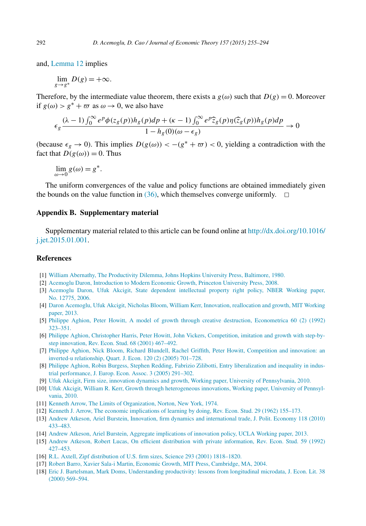<span id="page-37-0"></span>and, [Lemma 12](#page-36-0) implies

$$
\lim_{g \to g^*} D(g) = +\infty.
$$

Therefore, by the intermediate value theorem, there exists a  $g(\omega)$  such that  $D(g) = 0$ . Moreover if  $g(\omega) > g^* + \overline{\omega}$  as  $\omega \to 0$ , we also have

$$
\epsilon_g \frac{(\lambda - 1) \int_0^\infty e^p \phi(z_g(p)) h_g(p) dp + (\kappa - 1) \int_0^\infty e^p \widehat{z}_g(p) \eta(\widehat{z}_g(p)) h_g(p) dp}{1 - h_g(0)(\omega - \epsilon_g)} \to 0
$$

(because  $\epsilon_g \to 0$ ). This implies  $D(g(\omega)) < -(g^* + \overline{\omega}) < 0$ , yielding a contradiction with the fact that  $D(g(\omega)) = 0$ . Thus

$$
\lim_{\omega \to 0} g(\omega) = g^*.
$$

The uniform convergences of the value and policy functions are obtained immediately given the bounds on the value function in  $(36)$ , which themselves converge uniformly.  $\Box$ 

#### **Appendix B. Supplementary material**

Supplementary material related to this article can be found online at [http://dx.doi.org/10.1016/](http://dx.doi.org/10.1016/j.jet.2015.01.001) [j.jet.2015.01.001](http://dx.doi.org/10.1016/j.jet.2015.01.001).

### **References**

- [1] William Abernathy, The [Productivity](http://refhub.elsevier.com/S0022-0531(15)00003-4/bib616265726E617468793A31393830s1) Dilemma, Johns Hopkins University Press, Baltimore, 1980.
- [2] Acemoglu Daron, [Introduction](http://refhub.elsevier.com/S0022-0531(15)00003-4/bib6163656D6F676C753A32303038s1) to Modern Economic Growth, Princeton University Press, 2008.
- [3] Acemoglu Daron, Ufuk Akcigit, State dependent [intellectual](http://refhub.elsevier.com/S0022-0531(15)00003-4/bib6163656D6F676C753A616B63696769743A32303036s1) property right policy, NBER Working paper, [No. 12775,](http://refhub.elsevier.com/S0022-0531(15)00003-4/bib6163656D6F676C753A616B63696769743A32303036s1) 2006.
- [4] Daron Acemoglu, Ufuk Akcigit, Nicholas Bloom, William Kerr, Innovation, [reallocation](http://refhub.elsevier.com/S0022-0531(15)00003-4/bib6163656D6F676C753A32303133s1) and growth, MIT Working [paper,](http://refhub.elsevier.com/S0022-0531(15)00003-4/bib6163656D6F676C753A32303133s1) 2013.
- [5] Philippe Aghion, Peter Howitt, A model of growth through creative destruction, [Econometrica](http://refhub.elsevier.com/S0022-0531(15)00003-4/bib616768696F6E3A686F776974743A31393932s1) 60 (2) (1992) [323–351.](http://refhub.elsevier.com/S0022-0531(15)00003-4/bib616768696F6E3A686F776974743A31393932s1)
- [6] Philippe Aghion, Christopher Harris, Peter Howitt, John Vickers, [Competition,](http://refhub.elsevier.com/S0022-0531(15)00003-4/bib616768696F6E3A686F776974743A6861727269733A7669636B6572733A5245537475643A32303031s1) imitation and growth with step-bystep [innovation,](http://refhub.elsevier.com/S0022-0531(15)00003-4/bib616768696F6E3A686F776974743A6861727269733A7669636B6572733A5245537475643A32303031s1) Rev. Econ. Stud. 68 (2001) 467–492.
- [7] Philippe Aghion, Nick Bloom, Richard Blundell, Rachel Griffith, Peter Howitt, [Competition](http://refhub.elsevier.com/S0022-0531(15)00003-4/bib616768696F6E3A3230303561s1) and innovation: an inverted-u [relationship,](http://refhub.elsevier.com/S0022-0531(15)00003-4/bib616768696F6E3A3230303561s1) Quart. J. Econ. 120 (2) (2005) 701–728.
- [8] Philippe Aghion, Robin Burgess, Stephen Redding, Fabrizio Zilibotti, Entry [liberalization](http://refhub.elsevier.com/S0022-0531(15)00003-4/bib616768696F6E3A3230303562s1) and inequality in industrial [performance,](http://refhub.elsevier.com/S0022-0531(15)00003-4/bib616768696F6E3A3230303562s1) J. Europ. Econ. Assoc. 3 (2005) 291–302.
- [9] Ufuk Akcigit, Firm size, innovation dynamics and growth, Working paper, University of [Pennsylvania,](http://refhub.elsevier.com/S0022-0531(15)00003-4/bib616B63696769743A32303130s1) 2010.
- [10] Ufuk Akcigit, William R. Kerr, Growth through [heterogeneous](http://refhub.elsevier.com/S0022-0531(15)00003-4/bib616B63696769743A6B6572723A32303130s1) innovations, Working paper, University of Pennsyl[vania,](http://refhub.elsevier.com/S0022-0531(15)00003-4/bib616B63696769743A6B6572723A32303130s1) 2010.
- [11] Kenneth Arrow, The Limits of [Organization,](http://refhub.elsevier.com/S0022-0531(15)00003-4/bib6172726F773A31393734s1) Norton, New York, 1974.
- [12] Kenneth J. Arrow, The economic [implications](http://refhub.elsevier.com/S0022-0531(15)00003-4/bib6172726F773A31393632s1) of learning by doing, Rev. Econ. Stud. 29 (1962) 155–173.
- [13] Andrew Atkeson, Ariel Burstein, Innovation, firm dynamics and [international](http://refhub.elsevier.com/S0022-0531(15)00003-4/bib61746B65736F6E3A627572737465696E3A32303130s1) trade, J. Polit. Economy 118 (2010) [433–483.](http://refhub.elsevier.com/S0022-0531(15)00003-4/bib61746B65736F6E3A627572737465696E3A32303130s1)
- [14] Andrew Atkeson, Ariel Burstein, Aggregate [implications](http://refhub.elsevier.com/S0022-0531(15)00003-4/bib61746B65736F6E3A627572737465696E3A32303133s1) of innovation policy, UCLA Working paper, 2013.
- [15] Andrew Atkeson, Robert Lucas, On efficient distribution with private [information,](http://refhub.elsevier.com/S0022-0531(15)00003-4/bib61746B65736F6E3A6C756361733A31393932s1) Rev. Econ. Stud. 59 (1992) [427–453.](http://refhub.elsevier.com/S0022-0531(15)00003-4/bib61746B65736F6E3A6C756361733A31393932s1)
- [16] R.L. Axtell, Zipf distribution of U.S. firm sizes, Science 293 (2001) [1818–1820.](http://refhub.elsevier.com/S0022-0531(15)00003-4/bib617874656C6C3A32303031s1)
- [17] Robert Barro, Xavier Sala-i Martin, Economic Growth, MIT Press, [Cambridge,](http://refhub.elsevier.com/S0022-0531(15)00003-4/bib626172726F3A6D617274696E3A32303034s1) MA, 2004.
- [18] Eric J. Bartelsman, Mark Doms, [Understanding](http://refhub.elsevier.com/S0022-0531(15)00003-4/bib62617274656C736D616E3A646F6D733A32303030s1) productivity: lessons from longitudinal microdata, J. Econ. Lit. 38 (2000) [569–594.](http://refhub.elsevier.com/S0022-0531(15)00003-4/bib62617274656C736D616E3A646F6D733A32303030s1)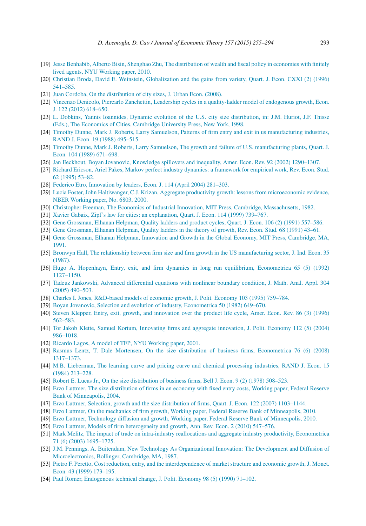- <span id="page-38-0"></span>[19] Jesse Benhabib, Alberto Bisin, Shenghao Zhu, The [distribution](http://refhub.elsevier.com/S0022-0531(15)00003-4/bib62656E68616269623A626973696E3A32303130s1) of wealth and fiscal policy in economies with finitely lived agents, NYU [Working](http://refhub.elsevier.com/S0022-0531(15)00003-4/bib62656E68616269623A626973696E3A32303130s1) paper, 2010.
- [20] Christian Broda, David E. Weinstein, [Globalization](http://refhub.elsevier.com/S0022-0531(15)00003-4/bib62726F64613A7765696E737465696E3A31393936s1) and the gains from variety, Quart. J. Econ. CXXI (2) (1996) [541–585.](http://refhub.elsevier.com/S0022-0531(15)00003-4/bib62726F64613A7765696E737465696E3A31393936s1)
- [21] Juan Cordoba, On the [distribution](http://refhub.elsevier.com/S0022-0531(15)00003-4/bib636F72646F62613A32303038s1) of city sizes, J. Urban Econ. (2008).
- [22] Vincenzo Denicolo, Piercarlo Zanchettin, Leadership cycles in a quality-ladder model of [endogenous growth,](http://refhub.elsevier.com/S0022-0531(15)00003-4/bib64656E69636F6C6F3A7A616E6368657474696E3A32303132s1) Econ. J. 122 (2012) [618–650.](http://refhub.elsevier.com/S0022-0531(15)00003-4/bib64656E69636F6C6F3A7A616E6368657474696E3A32303132s1)
- [23] L. Dobkins, Yannis Ioannides, Dynamic evolution of the U.S. city size [distribution,](http://refhub.elsevier.com/S0022-0531(15)00003-4/bib646F626B696E733A696F616E6E696465733A31393938s1) in: J.M. Huriot, J.F. Thisse (Eds.), The [Economics](http://refhub.elsevier.com/S0022-0531(15)00003-4/bib646F626B696E733A696F616E6E696465733A31393938s1) of Cities, Cambridge University Press, New York, 1998.
- [24] Timothy Dunne, Mark J. Roberts, Larry Samuelson, Patterns of firm entry and exit in us [manufacturing](http://refhub.elsevier.com/S0022-0531(15)00003-4/bib64756E6E653A726F62657274733A73616D75656C736F6E3A31393838s1) industries, RAND J. Econ. 19 (1988) [495–515.](http://refhub.elsevier.com/S0022-0531(15)00003-4/bib64756E6E653A726F62657274733A73616D75656C736F6E3A31393838s1)
- [25] Timothy Dunne, Mark J. Roberts, Larry Samuelson, The growth and failure of [U.S. manufacturing](http://refhub.elsevier.com/S0022-0531(15)00003-4/bib64756E6E653A726F62657274733A73616D75656C736F6E3A31393839s1) plants, Quart. J. Econ. 104 (1989) [671–698.](http://refhub.elsevier.com/S0022-0531(15)00003-4/bib64756E6E653A726F62657274733A73616D75656C736F6E3A31393839s1)
- [26] Jan Eeckhout, Boyan Jovanovic, Knowledge spillovers and inequality, Amer. Econ. Rev. 92 (2002) [1290–1307.](http://refhub.elsevier.com/S0022-0531(15)00003-4/bib6565636B686F75743A6A6F76616E6F7669633A32303032s1)
- [27] Richard Ericson, Ariel Pakes, Markov perfect industry dynamics: a [framework](http://refhub.elsevier.com/S0022-0531(15)00003-4/bib65726963736F6E3A70616B65733A31393935s1) for empirical work, Rev. Econ. Stud. 62 (1995) [53–82.](http://refhub.elsevier.com/S0022-0531(15)00003-4/bib65726963736F6E3A70616B65733A31393935s1)
- [28] Federico Etro, [Innovation](http://refhub.elsevier.com/S0022-0531(15)00003-4/bib6574726F3A32303034s1) by leaders, Econ. J. 114 (April 2004) 281–303.
- [29] Lucia Foster, John Haltiwanger, C.J. Krizan, Aggregate [productivity growth:](http://refhub.elsevier.com/S0022-0531(15)00003-4/bib666F737465723A68616C746977616E6765723A6B72697A616E3A32303030s1) lessons from microeconomic evidence, NBER [Working](http://refhub.elsevier.com/S0022-0531(15)00003-4/bib666F737465723A68616C746977616E6765723A6B72697A616E3A32303030s1) paper, No. 6803, 2000.
- [30] Christopher Freeman, The Economics of Industrial Innovation, MIT Press, Cambridge, [Massachusetts,](http://refhub.elsevier.com/S0022-0531(15)00003-4/bib667265656D616E3A31393832s1) 1982.
- [31] Xavier Gabaix, Zipf's law for cities: an [explanation,](http://refhub.elsevier.com/S0022-0531(15)00003-4/bib6761626169783A31393939s1) Quart. J. Econ. 114 (1999) 739–767.
- [32] Gene [Grossman,](http://refhub.elsevier.com/S0022-0531(15)00003-4/bib67726F73736D616E3A68656C706D616E3A31393931s1) Elhanan Helpman, Quality ladders and product cycles, Quart. J. Econ. 106 (2) (1991) 557–586.
- [33] Gene [Grossman,](http://refhub.elsevier.com/S0022-0531(15)00003-4/bib67726F73736D616E3A68656C706D616E3A3139393161s1) Elhanan Helpman, Quality ladders in the theory of growth, Rev. Econ. Stud. 68 (1991) 43–61.
- [34] Gene Grossman, Elhanan Helpman, Innovation and Growth in the Global Economy, MIT Press, [Cambridge,](http://refhub.elsevier.com/S0022-0531(15)00003-4/bib67726F73736D616E3A68656C706D616E3A3139393162s1) MA, [1991.](http://refhub.elsevier.com/S0022-0531(15)00003-4/bib67726F73736D616E3A68656C706D616E3A3139393162s1)
- [35] Bronwyn Hall, The relationship between firm size and firm growth in the [US manufacturing](http://refhub.elsevier.com/S0022-0531(15)00003-4/bib68616C6C3A31393837s1) sector, J. Ind. Econ. 35 [\(1987\).](http://refhub.elsevier.com/S0022-0531(15)00003-4/bib68616C6C3A31393837s1)
- [36] Hugo A. Hopenhayn, Entry, exit, and firm dynamics in long run equilibrium, [Econometrica](http://refhub.elsevier.com/S0022-0531(15)00003-4/bib686F70656E6861796E3A31393932s1) 65 (5) (1992) [1127–1150.](http://refhub.elsevier.com/S0022-0531(15)00003-4/bib686F70656E6861796E3A31393932s1)
- [37] Tadeuz [Jankowski,](http://refhub.elsevier.com/S0022-0531(15)00003-4/bib6A616E6B6F77736B693A32303035s1) Advanced differential equations with nonlinear boundary condition, J. Math. Anal. Appl. 304 (2005) [490–503.](http://refhub.elsevier.com/S0022-0531(15)00003-4/bib6A616E6B6F77736B693A32303035s1)
- [38] Charles I. Jones, [R&D-based](http://refhub.elsevier.com/S0022-0531(15)00003-4/bib6A6F6E65733A31393935s1) models of economic growth, J. Polit. Economy 103 (1995) 759–784.
- [39] Boyan Jovanovic, Selection and evolution of industry, [Econometrica](http://refhub.elsevier.com/S0022-0531(15)00003-4/bib6A6F76616E6F7669633A31393832s1) 50 (1982) 649–670.
- [40] Steven Klepper, Entry, exit, growth, and [innovation](http://refhub.elsevier.com/S0022-0531(15)00003-4/bib6B6C65707065723A31393936s1) over the product life cycle, Amer. Econ. Rev. 86 (3) (1996) [562–583.](http://refhub.elsevier.com/S0022-0531(15)00003-4/bib6B6C65707065723A31393936s1)
- [41] Tor Jakob Klette, Samuel Kortum, Innovating firms and aggregate [innovation,](http://refhub.elsevier.com/S0022-0531(15)00003-4/bib6B6C657474653A6B6F7274756D3A32303034s1) J. Polit. Economy 112 (5) (2004) [986–1018.](http://refhub.elsevier.com/S0022-0531(15)00003-4/bib6B6C657474653A6B6F7274756D3A32303034s1)
- [42] Ricardo Lagos, A model of TFP, NYU [Working](http://refhub.elsevier.com/S0022-0531(15)00003-4/bib6C61676F733A32303031s1) paper, 2001.
- [43] Rasmus Lentz, T. Dale Mortensen, On the size distribution of business firms, [Econometrica](http://refhub.elsevier.com/S0022-0531(15)00003-4/bib6C656E747A3A6D6F7274656E73656E3A32303038s1) 76 (6) (2008) [1317–1373.](http://refhub.elsevier.com/S0022-0531(15)00003-4/bib6C656E747A3A6D6F7274656E73656E3A32303038s1)
- [44] M.B. [Lieberman,](http://refhub.elsevier.com/S0022-0531(15)00003-4/bib6C69656265726D616E3A31393834s1) The learning curve and pricing curve and chemical processing industries, RAND J. Econ. 15 (1984) [213–228.](http://refhub.elsevier.com/S0022-0531(15)00003-4/bib6C69656265726D616E3A31393834s1)
- [45] Robert E. Lucas Jr., On the size [distribution](http://refhub.elsevier.com/S0022-0531(15)00003-4/bib6C756361733A3139373862s1) of business firms, Bell J. Econ. 9 (2) (1978) 508–523.
- [46] Erzo Luttmer, The size [distribution](http://refhub.elsevier.com/S0022-0531(15)00003-4/bib6C7574746D65723A32303034s1) of firms in an economy with fixed entry costs, Working paper, Federal Reserve Bank of [Minneapolis,](http://refhub.elsevier.com/S0022-0531(15)00003-4/bib6C7574746D65723A32303034s1) 2004.
- [47] Erzo Luttmer, Selection, growth and the size distribution of firms, Quart. J. Econ. 122 (2007) [1103–1144.](http://refhub.elsevier.com/S0022-0531(15)00003-4/bib6C7574746D65723A716A653A32303037s1)
- [48] Erzo Luttmer, On the mechanics of firm growth, Working paper, Federal Reserve Bank of [Minneapolis,](http://refhub.elsevier.com/S0022-0531(15)00003-4/bib6C7574746D65723A3230313061s1) 2010.
- [49] Erzo Luttmer, Technology diffusion and growth, Working paper, Federal Reserve Bank of [Minneapolis,](http://refhub.elsevier.com/S0022-0531(15)00003-4/bib6C7574746D65723A3230313062s1) 2010.
- [50] Erzo Luttmer, Models of firm [heterogeneity](http://refhub.elsevier.com/S0022-0531(15)00003-4/bib6C7574746D65723A3230313063s1) and growth, Ann. Rev. Econ. 2 (2010) 547–576.
- [51] Mark Melitz, The impact of trade on intra-industry reallocations and aggregate industry productivity, [Econometrica](http://refhub.elsevier.com/S0022-0531(15)00003-4/bib6D656C69747A3A32303033s1) 71 (6) (2003) [1695–1725.](http://refhub.elsevier.com/S0022-0531(15)00003-4/bib6D656C69747A3A32303033s1)
- [52] J.M. Pennings, A. Buitendam, New Technology As [Organizational](http://refhub.elsevier.com/S0022-0531(15)00003-4/bib70656E6E696E67733A62756974656E64616D3A31393837s1) Innovation: The Development and Diffusion of [Microelectronics,](http://refhub.elsevier.com/S0022-0531(15)00003-4/bib70656E6E696E67733A62756974656E64616D3A31393837s1) Bollinger, Cambridge, MA, 1987.
- [53] Pietro F. Peretto, Cost reduction, entry, and the [interdependence](http://refhub.elsevier.com/S0022-0531(15)00003-4/bib7065726574746F3A31393939s1) of market structure and economic growth, J. Monet. Econ. 43 (1999) [173–195.](http://refhub.elsevier.com/S0022-0531(15)00003-4/bib7065726574746F3A31393939s1)
- [54] Paul Romer, [Endogenous](http://refhub.elsevier.com/S0022-0531(15)00003-4/bib726F6D65723A31393930s1) technical change, J. Polit. Economy 98 (5) (1990) 71–102.